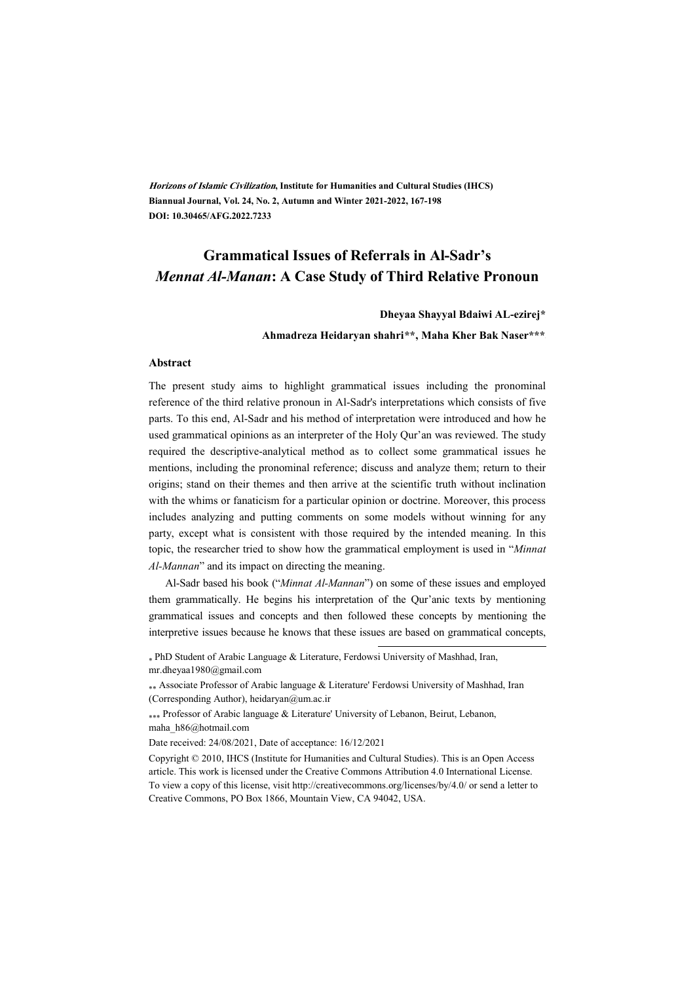**Horizons of Islamic Civilization, Institute for Humanities and Cultural Studies (IHCS) Biannual Journal, Vol. 24, No. 2, Autumn and Winter 2021-2022, 167-198 DOI: 10.30465/AFG.2022.7233**

### **Grammatical Issues of Referrals in Al-Sadr's**  *Mennat Al-Manan***: A Case Study of Third Relative Pronoun**

#### **Dheyaa Shayyal Bdaiwi AL-ezirej\***

**Ahmadreza Heidaryan shahri\*\*\* , Maha Kher Bak Naser\*\*\* †**

#### **Abstract**

The present study aims to highlight grammatical issues including the pronominal reference of the third relative pronoun in Al-Sadr's interpretations which consists of five parts. To this end, Al-Sadr and his method of interpretation were introduced and how he used grammatical opinions as an interpreter of the Holy Qur'an was reviewed. The study required the descriptive-analytical method as to collect some grammatical issues he mentions, including the pronominal reference; discuss and analyze them; return to their origins; stand on their themes and then arrive at the scientific truth without inclination with the whims or fanaticism for a particular opinion or doctrine. Moreover, this process includes analyzing and putting comments on some models without winning for any party, except what is consistent with those required by the intended meaning. In this topic, the researcher tried to show how the grammatical employment is used in "*Minnat Al-Mannan*" and its impact on directing the meaning.

Al-Sadr based his book ("*Minnat Al-Mannan*") on some of these issues and employed them grammatically. He begins his interpretation of the Qur'anic texts by mentioning grammatical issues and concepts and then followed these concepts by mentioning the interpretive issues because he knows that these issues are based on grammatical concepts,

.

<sup>∗</sup> PhD Student of Arabic Language & Literature, Ferdowsi University of Mashhad, Iran, mr.dheyaa1980@gmail.com

<sup>∗∗</sup> Associate Professor of Arabic language & Literature' Ferdowsi University of Mashhad, Iran (Corresponding Author), heidaryan@um.ac.ir

<sup>\*</sup>∗∗ Professor of Arabic language & Literature' University of Lebanon, Beirut, Lebanon, maha\_h86@hotmail.com

Date received: 24/08/2021, Date of acceptance: 16/12/2021

Copyright © 2010, IHCS (Institute for Humanities and Cultural Studies). This is an Open Access article. This work is licensed under the Creative Commons Attribution 4.0 International License. To view a copy of this license, visit http://creativecommons.org/licenses/by/4.0/ or send a letter to Creative Commons, PO Box 1866, Mountain View, CA 94042, USA.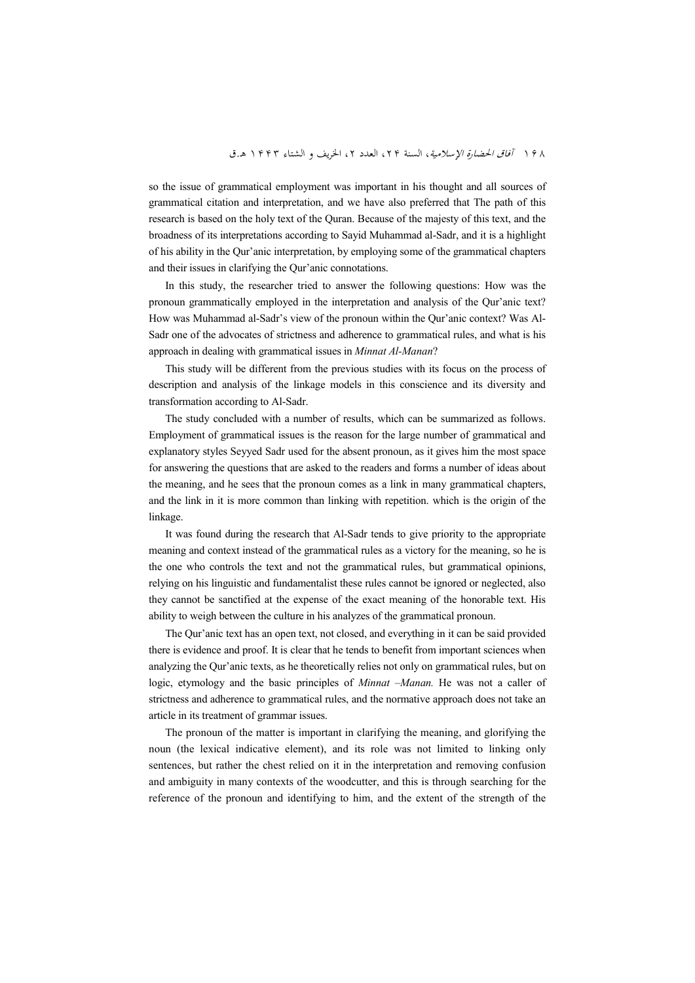so the issue of grammatical employment was important in his thought and all sources of grammatical citation and interpretation, and we have also preferred that The path of this research is based on the holy text of the Quran. Because of the majesty of this text, and the broadness of its interpretations according to Sayid Muhammad al-Sadr, and it is a highlight of his ability in the Qur'anic interpretation, by employing some of the grammatical chapters and their issues in clarifying the Qur'anic connotations.

In this study, the researcher tried to answer the following questions: How was the pronoun grammatically employed in the interpretation and analysis of the Qur'anic text? How was Muhammad al-Sadr's view of the pronoun within the Qur'anic context? Was Al-Sadr one of the advocates of strictness and adherence to grammatical rules, and what is his approach in dealing with grammatical issues in *Minnat Al-Manan*?

This study will be different from the previous studies with its focus on the process of description and analysis of the linkage models in this conscience and its diversity and transformation according to Al-Sadr.

The study concluded with a number of results, which can be summarized as follows. Employment of grammatical issues is the reason for the large number of grammatical and explanatory styles Seyyed Sadr used for the absent pronoun, as it gives him the most space for answering the questions that are asked to the readers and forms a number of ideas about the meaning, and he sees that the pronoun comes as a link in many grammatical chapters, and the link in it is more common than linking with repetition. which is the origin of the linkage.

It was found during the research that Al-Sadr tends to give priority to the appropriate meaning and context instead of the grammatical rules as a victory for the meaning, so he is the one who controls the text and not the grammatical rules, but grammatical opinions, relying on his linguistic and fundamentalist these rules cannot be ignored or neglected, also they cannot be sanctified at the expense of the exact meaning of the honorable text. His ability to weigh between the culture in his analyzes of the grammatical pronoun.

The Qur'anic text has an open text, not closed, and everything in it can be said provided there is evidence and proof. It is clear that he tends to benefit from important sciences when analyzing the Qur'anic texts, as he theoretically relies not only on grammatical rules, but on logic, etymology and the basic principles of *Minnat –Manan.* He was not a caller of strictness and adherence to grammatical rules, and the normative approach does not take an article in its treatment of grammar issues.

The pronoun of the matter is important in clarifying the meaning, and glorifying the noun (the lexical indicative element), and its role was not limited to linking only sentences, but rather the chest relied on it in the interpretation and removing confusion and ambiguity in many contexts of the woodcutter, and this is through searching for the reference of the pronoun and identifying to him, and the extent of the strength of the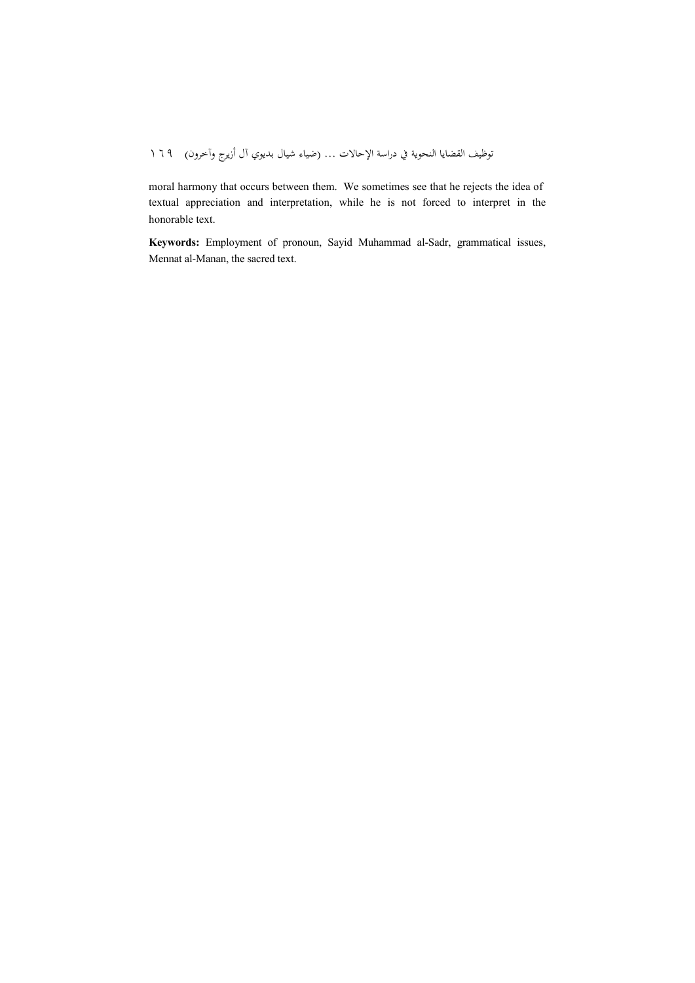# توظيف القضايا النحوية في دراسة الإحالات … (ضياء شيال بديوي آل أزيرج وآخرون) ١٦٩

moral harmony that occurs between them. We sometimes see that he rejects the idea of textual appreciation and interpretation, while he is not forced to interpret in the honorable text.

**Keywords:** Employment of pronoun, Sayid Muhammad al-Sadr, grammatical issues, Mennat al-Manan, the sacred text.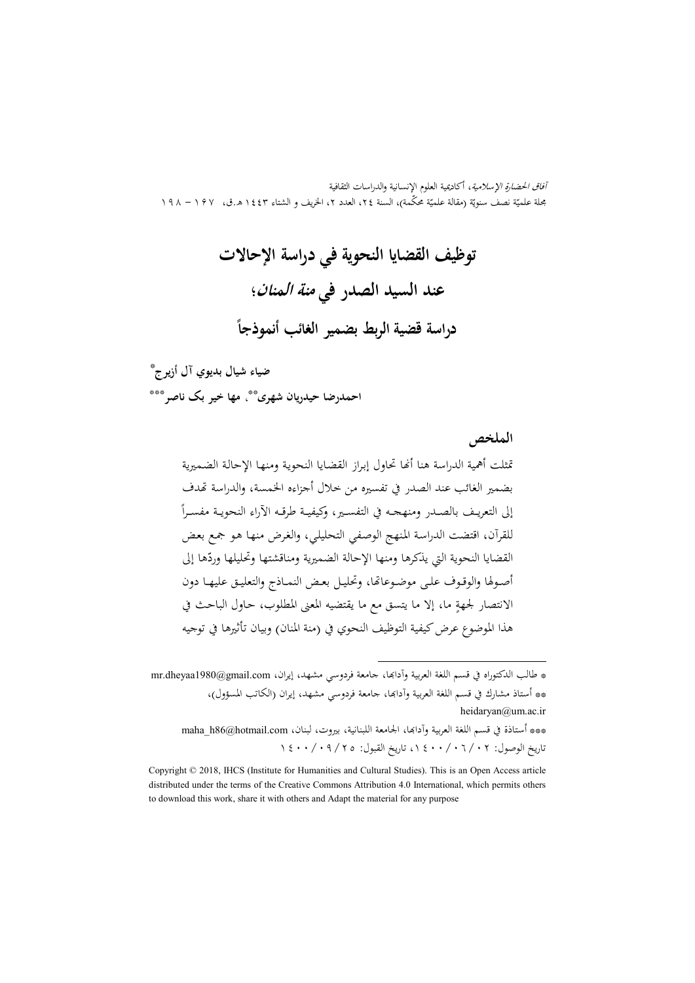آفاق الحضارة الإسلامية، أكاديمية العلوم الإنسانية والدراسات الثقافية مجلة علميّة نصف سنويّة (مقالة علميّة محكّمة)، السنة ٢٤، العدد ٢، الخريف و الشتاء ١٤٤٣ هـ.ق، ١٩٧ – ١٩٨

> **توظيف القضايا النحوية في دراسة الإحالات عند السيد الصدر في منة المنان ؛ ً دراسة قضية الربط بضمير الغائب أنموذجا**

\* **ضياء شيال بديوي آل أزيرج**

احمدرضا حيدريان شهری<sup>ه</sup>ٌّ، مها خير بک ناصر<sup>®</sup>ٌ\*

**الملخص** تمثلت أهمية الدراسة هنا أنحا تحاول إبراز القضايا النحوية ومنها الإحالة الضميرية بضمير الغائب عند الصدر في تفسيره من خلال أجزاءه الخمسة، والدراسة تهدف إلى التعريـف بالصـدر ومنهجـه في التفسـير، وكيفيــة طرقـه الأراء النحويـة مفسـراً للقرآن، اقتضت الدراسـة المـنهج الوصـفي التحليلـي، والغـرض منهـا هـو جمـع بعـض القضايا النحوية التي يذكرها ومنها الإحالة الضميرية ومناقشتها وتحليلها وردّها إلى أصـولها والوقـوف علـى موضـوعاتما، وتحليـل بعـض النمـاذج والتعليـق عليهـا دون ٍ ما، إلا ما يتسق مع ما يقتضيه المعنى المطلوب، حـاول الباحـث في الانتصار لجهة هذا الموضوع عرض كيفية التوظيف النحوي في (منة المنان) وبيان تأثيرها في توجيه

\*\*\* أستاذة في قسم اللغة العربية وآدابها، الجامعة اللبنانية، بيروت، لبنان، maha h86@hotmail.com تاريخ الوصول: ٠٢/ ٠٦/ ١٤٠٠ ، تاريخ القبول: ٢٥/ ٠٩/ ١٤٠٠

.

<sup>\*</sup> طالب الدكتوراه في قسم اللغة العربية وآدابها، جامعة فردوسي مشهد، إيران، mr.dheyaa1980@gmail.com \*\* أستاذ مشارك في قسم اللغة العربية وآداا، جامعة فردوسي مشهد، إيران (الکاتب المسؤول) ، heidaryan@um.ac.ir

Copyright © 2018, IHCS (Institute for Humanities and Cultural Studies). This is an Open Access article distributed under the terms of the Creative Commons Attribution 4.0 International, which permits others to download this work, share it with others and Adapt the material for any purpose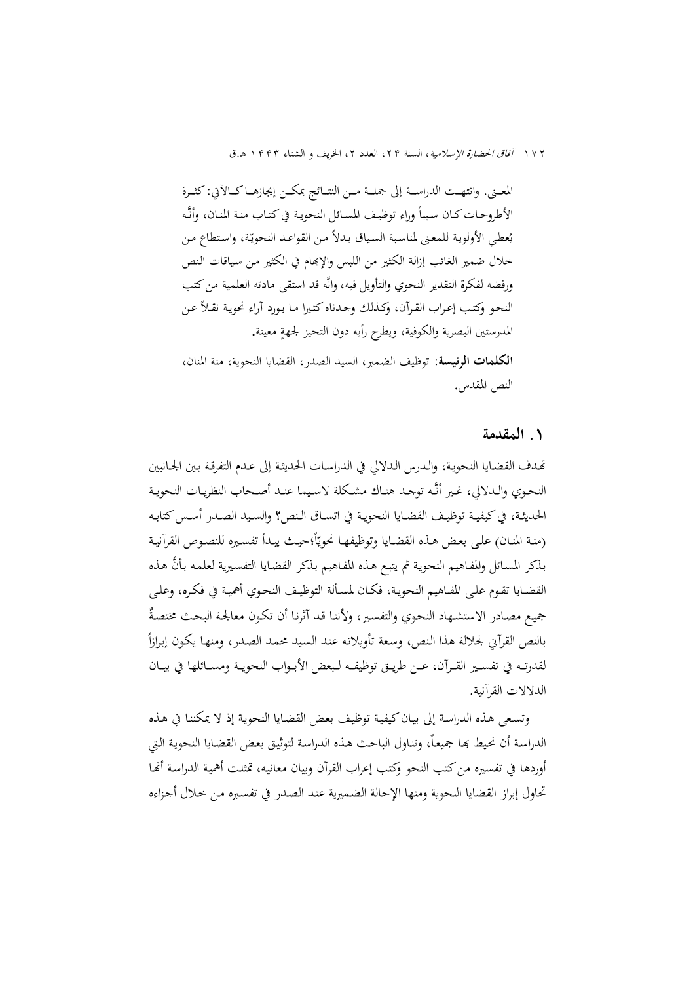١٧٢ *آفاق الحضارة الإسلامية*، السنة ٢٢، العدد ٢، الخريف و الشتاء ١۴۴٣ هـ.ق

المعـــنى. وانتهـــت الدراســـة إلى جملـــة مـــن النتـــائج يمكـــن إيجازهـــا كـــالآتي: كثـــرة الأطروحـات كـان سبباً وراء توظيـف المسـائل النحويـة في كتـاب منـة المنـان، وأنَّـه يُعطي الأولوية للمعنى لمناسبة السياق بدلاً من القواعد النحويّة، واستطاع من خلال ضمير الغائب إزالة الكثير من اللبس والإام في الكثير مـن سـياقات الـنص ورفضه لفكرة التقدير النحوي والتأويل فيه، وانه قد استقى مادته العلمية من كتب النحـو وكتـب إعـراب القـرآن، وكـذلك وجـدناه كثـيرا مـا يـورد آراء نحويـة نقـلاً عـن المدرستين البصرية والكوفية، ويطرح رأيه دون التحيز لجهةٍ معينة. **الكلمات الرئيسة:** توظيف الضمير، السيد الصدر، القضايا النحوية، منة المنان، النص المقدس.

### **.١ المقدمة**

ـدف القضـايا النحويـة، والـدرس الـدلالي في الدراسـات الحديثـة إلى عـدم التفرقـة بـين الجـانبين النحـوي والـدلالي، غـير أنَّـه توجـد هنـاك مشـكلة لاسـيما عنـد أصـحاب النظريـات النحويـة الحديثــة، في كيفيــة توظيــف القضــايا النحويــة في اتســاق الــنص؟ والســيد الصــدر أســس كتابــه (منة المنـان) علـى بعض هـذه القضـايا وتوظيفهـا نحويّاً؛حيـث يبـدأ تفسـيره للنصـوص القرآنيـة بذكر المسائل والمفـاهيم النحوية ثم يتبـع هـذه المفـاهيم بـذكر القضـايا التفسـيرية لعلمـه بـأنَّ هـذه القضـايا تقـوم علـى المفـاهيم النحويـة، فكـان لمسـألة التوظيـف النحـوي أهميـة في فكـره، وعلـى جميع مصـادر الاستشـهاد النحوي والتفسـير، ولأننـا قـد آثرنـا أن تكـون معالجـة البحـث مختصـةً بالنص القرآني لجلالة هذا النص، وسعة تأويلاته عند السيد محمد الصدر، ومنها يكون إبرازاً لقدرتــه في تفســير القــرآن، عــن طريــق توظيفــه لــبعض الأبــواب النحويــة ومســائلها في بيــان الدلالات القرآنية.

وتسـعى هـذه الدراسـة إلى بيـان كيفيـة توظيـف بعـض القضـايا النحويـة إذ لا يمكننـا في هـذه الدراسة أن نحيط بحا جميعاً، وتناول الباحث هذه الدراسة لتوثيق بعض القضايا النحوية التي أوردها في تفسيره من كتب النحو وكتب إعراب القرآن وبيان معانيـه، تمثلـت أهميـة الدراسـة أـا تحاول إبراز القضايا النحوية ومنها الإحالة الضـميرية عنـد الصـدر في تفسـيره مـن خـلال أجـزاءه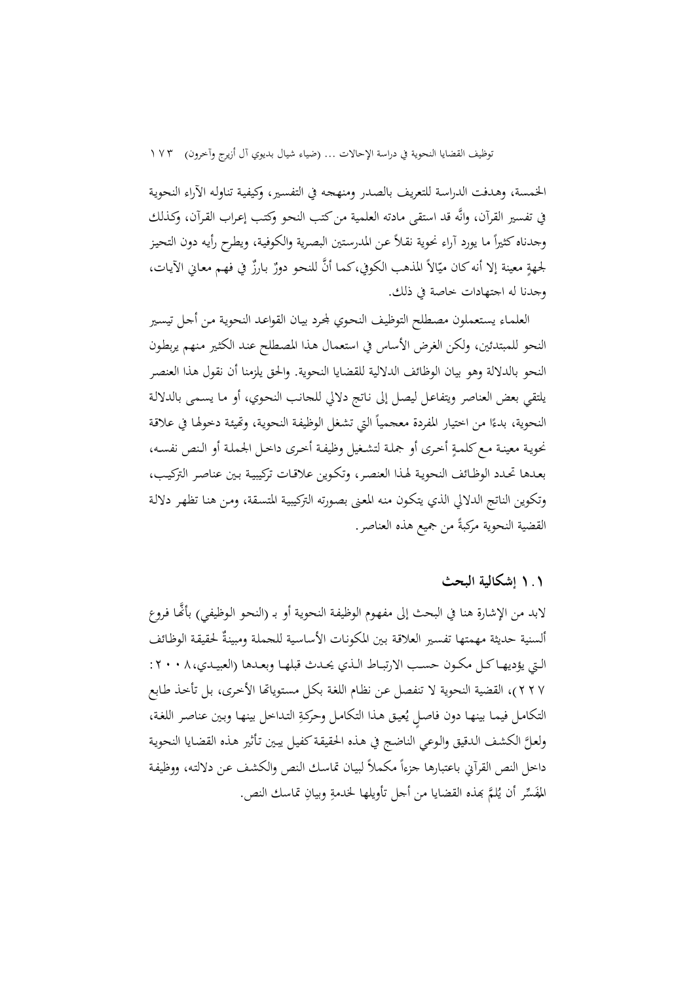الخمسة، وهـدفت الدراسـة للتعريـف بالصـدر ومنهجـه في التفسـير، وكيفيـة تناولـه الآراء النحويـة في تفسير القرآن، وانه قد استقى مادته العلمية من كتب النحـو وكتـب إعـراب القـرآن، وكـذلك  $\overline{a}$ وجدناه كثيراً ما يورد آراء نحوية نقـلاً عـن المدرستين البصرية والكوفيـة، ويطرح رأيه دون التحيز لجهةٍ معينة إلا أنه كان ميّالاً المذهب الكوفي،كما أنَّ للنحو دورٌ بارزٌ في فهم معاني الآيات، وجدنا له اجتهادات خاصة في ذلك.

العلمـاء يستعملون مصطلح التوظيف النحوي لجرد بيـان القواعـد النحوية مـن أجـل تيسير النحو للمبتدئين، ولكن الغرض الأساس في استعمال هـذا المصـطلح عنـد الكثـير مـنهم يربطـون النحو بالدلالة وهو بيان الوظائف الدلالية للقضايا النحوية. والحق يلزمنا أن نقول هذا العنصـر يلتقي بعض العناصر ويتفاعـل ليصـل إلى نـاتج دلالي للجانـب النحـوي، أو مـا يسـمى بالدلالـة '<br>' النحوية، بدءًا من اختيار المفردة معجمياً التي تشغل الوظيفة النحوية، وتميئة دخولها في علاقة نحويـة معينـة مـع كلمـةٍ أخـرى أو جملـة لتشـغيل وظيفـة أخـرى داخـل الجملـة أو الـنص نفسـه، بعـدها تحـدد الوظـائف النحويـة لهـذا العنصـر، وتكـوين علاقـات تركيبيـة بـين عناصـر التركيـب، وتكوين الناتج الدلالي الذي يتكـون منـه المعـنى بصـورته التركيبيـة المتسـقة، ومـن هنـا تظهـر دلالـة القضية النحوية مركبةً من جميع هذه العناصر. <u>:</u>

### **١.١ إشكالية البحث**

لابد من الإشارة هنا في البحث إلى مفهوم الوظيفـة النحويـة أو بـ (النحو الوظيفي) بأضًّا فروع السنية حديثة مهمتها تفسير العلاقة بين المكونات الأساسية للجملة ومبينةٌ لحقيقة الوظائف الــتي يؤديهــا كــل مكــون حســب الارتبــاط الــذي يحــدث قبلهــا وبعــدها (العبيــدي:٢٠٠٨، ٢٢٧)، القضية النحوية لا تنفصل عن نظام اللغة بكل مستوياتها الأخرى، بل تأخذ طـابع التكامل فيما بينها دون فاصلٍ يُعيق هذا التكامل وحركةِ التداخل بينها وبين عناصر اللغة، ولعـل الكشـف الـدقيق والـوعي الناضـج في هـذه الحقيقـة كفيـل يبـين تـأثير هـذه القضـايا النحويـة داخل النص القرآني باعتبارها جزءاً مكملاً لبيان تماسك النص والكشف عن دلالته، ووظيفة المُفَسِّر أن يُلمَّ بمذه القضايا من أجل تأويلها لخدمةِ وبيانِ تماسك النص.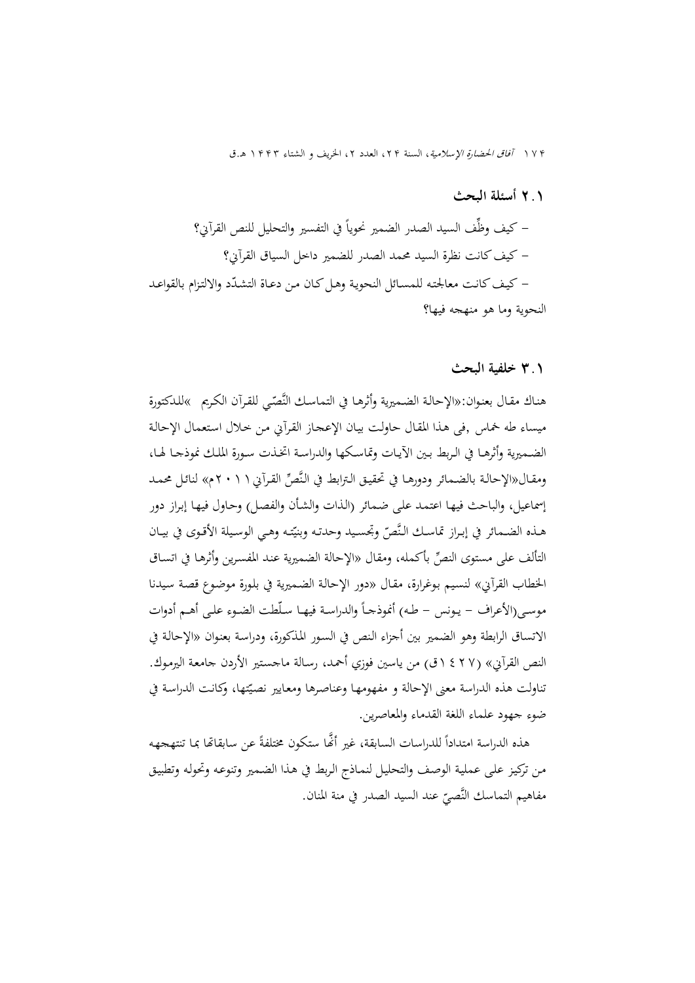١٧ آفاق الحضارة الإسلامية ا، لسنة ،٢ العدد ،٢ الخريف و الشتاء ١٣ هـ.ق

# **٢.١ أسئلة البحث** – كيف وظَّف السيد الصدر الضمير نحوياً في التفسير والتحليل للنص القرآني؟ - كيف كانت نظرة السيد محمد الصدر للضمير داخل السياق القرآني؟ – كيف كانت معالجته للمسـائل النحوية وهـل كـان من دعـاة التشـدّد والالتزام بالقواعـد النحوية وما هو منهجه فيها؟

### **٣.١ خلفية البحث**

هناك مقـال بعنوان:«الإحالـة الضـميرية وأثرهـا في التماسك النَّصّي للقرآن الكريم »للدكتورة ميساء طه خماس ,فی هـذا المقـال حاولـت بيـان الإعجـاز القـرآني مـن خـلال اسـتعمال الإحالـة الضــميرية وأثرهــا في الــربط بــين الآيــات وتماســكها والدراســة اتخــذت ســورة الملــك نموذجــا لهــا، ومقـال«الإحالـة بالضمـائر ودورهـا في تحقيـق الـترابط في النَّصِّ القـرآني ( ٢ ٠ ٢م» لنائـل محمـد إسماعيل، والباحث فيهـا اعتمـد علـى ضـمائر (الـذات والشـأن والفصـل) وحـاول فيهـا إبـراز دور هـذه الضـمائر في إبـراز تماسـك النَّصّ وتجسـيد وحدتـه وبنيّتـه وهـي الوسـيلة الأقـوى في بيـان التألف على مستوى النصِّ بأكمله، ومقال «الإحالة الضميرية عند المفسرين وأثرها في اتسـاق الخطاب القرآني» لنسيم بوغرارة، مقـال «دور الإحالـة الضميرية في بلورة موضوع قصة سيدنا موسى(الأعراف – يـونس – طـه) أنموذجـاً والدراسـة فيهـا سـلَطت الضـوء علـى أهـم أدوات الاتساق الرابطة وهو الضمير بين أجزاء الـنص في السـور المـذكورة، ودراسـة بعنـوان «الإحالـة في النص القرآني ( » ١٤٢٧ق) من ياسين فوزي أحمـد، رسـالة ماجسـتير الأردن جامعـة اليرمـو ك. نناولت هذه الدراسة معنى الإحالة و مفهومها وعناصرها ومعايير نصيّتها، وكانت الدراسة في ضوء جهود علماء اللغة القدماء والمعاصرين.

هذه الدراسة امتداداً للدراسات السابقة، غير أُنَّها ستكون مختلفةً عن سابقاتها بما تنتهجهه  $\overline{a}$ مـن تركيـز علـى عمليـة الوصـف والتحليـل لنمـاذج الـربط في هـذا الضـمير وتنوعـه وتحولـه وتطبيـق مفاهيم التماسك النَّصيّ عند السيد الصدر في منة المنان.<br>ّ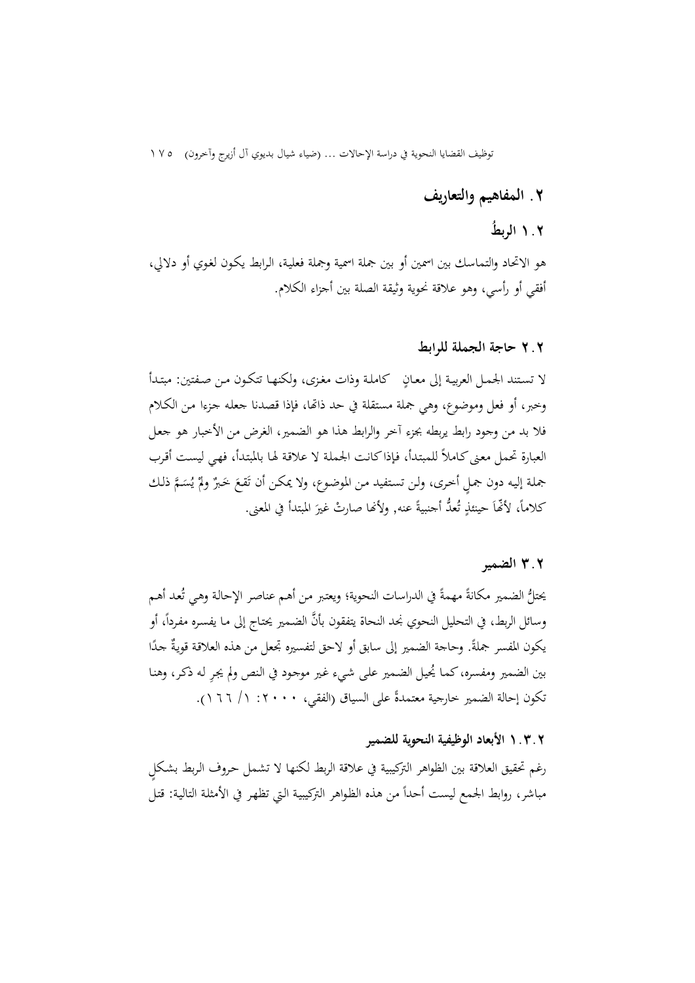توظيف القضايا النحوية في دراسة الإحالات ... (ضياء شيال بديوي آل أزيرج وآخرون) ١٧٥

### **٢ . المفاهيم والتعاريف**

## **١.٢ ُ الربط**

هو الاتحاد والتماسك بين اسمين أو بين جملة اسمية وجملة فعليـة، الـرابط يكـون لغـوي أو دلالي، أفقي أو رأسي، وهو علاقة نحوية وثيقة الصلة بين أجزاء الكلام.

### **٢.٢ حاجة الجملة للرابط**

.<br>ب لا تسـتند الجمـل العربيـة إلى معـان كاملـة وذات مغـزى، ولكنهـا تتكـون مـن صـفتين: مبتـدأ وخبر، أو فعل وموضوع، وهي جملة مستقلة في حد ذاتها، فإذا قصدنا جعله جزءا مـن الكـلام فلا بد من وجود رابط يربطه بجزء آخر والرابط هذا هو الضمير، الغرض من الأخبار هو جعـل العبارة تحمل معنى كـاملاً للمبتدأ، فإذا كانت الجملة لا علاقة لها بالمبتدأ، فهي ليست أقرب جملة إليه دون جملٍ أخرى، ولن تستفيد من الموضوع، ولا يمكن أن تَقعَ خَبرٌ ولمْ يُسَمَّ ذلك<br>.  $\ddot{\phantom{0}}$ **أ** َ  $\zeta$ كلاماً، لأنَّها حينئذٍ تُعلُّ أجنبيةً عنه, ولأنَّفا صارتْ غيرَ المبتدأ في المعنى.  $\ddot{\cdot}$ .<br>ا <u>ٔ</u>

### **٣.٢ الضمير**

يحتلُّ الضمير مكانةً مهمةً في الدراسات النحوية؛ ويعتبر من أهم عناصر الإحالة وهي تُعد أهم  $\ddot{\cdot}$ وسائل الربط، في التحليل النحوي نجد النحاة يتفقون بأنَّ الضمير يحتاج إلى ما يفسره مفرداً، أو  $\overline{\phantom{a}}$ يكون المفسر جملةً. وحاجة الضمير إلى سابق أو لاحق لتفسيره تجعل من هذه العلاقة قويةٌ جدًا ً بين الضمير ومفسره، كمـا يُحيل الضمير على شيء غير موجود في النص ولم يجر له ذكر، وهنـا تكون إحالة الضمير خارجية معتمدةً على السياق (الفقي، ٢٠٠٠: ١/ ١٦٦).

#### **١.٣.٢ الأبعاد الوظيفية النحوية للضمير**

رغم تحقيق العلاقة بين الظواهر التركيبية في علاقة الربط لكنها لا تشمل حروف الربط بشكل مباشر، روابط الجمع ليست أحداً من هذه الظواهر التركيبية التي تظهر في الأمثلة التالية: قتل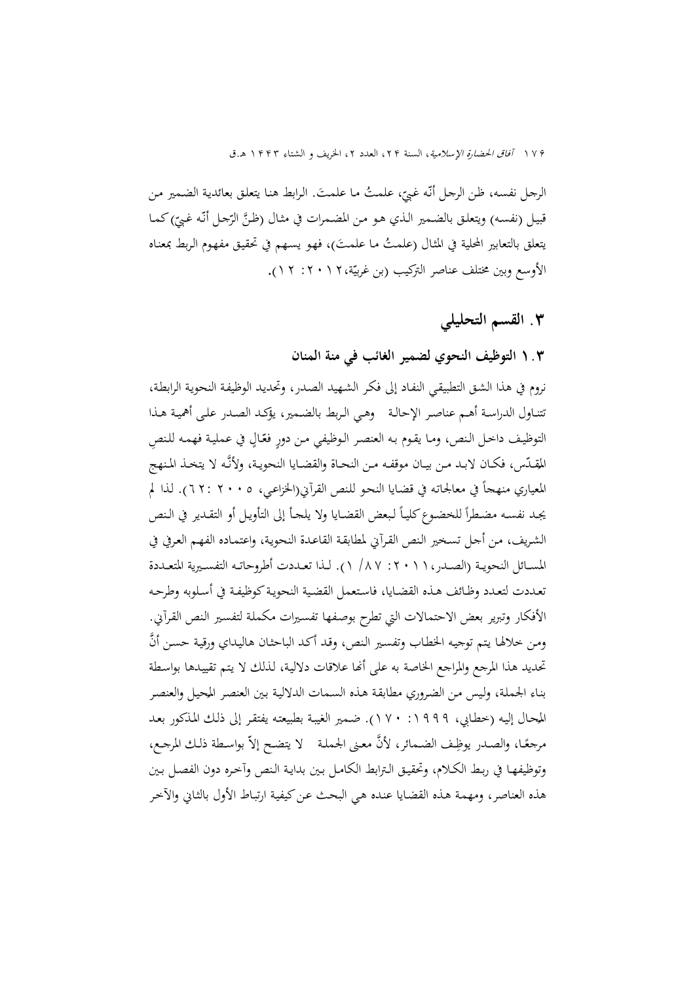١٧۶ *آفاق الحضارة الإسلامية*، السنة ٢٢، العدد ٢، الخريف و الشتاء ١۴۴٣ هـ.ق

 مـا علمـت. الـرابط هنـا يتعلـق بعائديـة الضـمير مـن ، علمـت َ ُ ّ ّـه غـبي الرجـل نفسـه، ظـن الرجـل أن قبيل (نفسـه) ويتعلـق بالضـمير الـذي هـو مـن المضـمرات في مثـال (ظـنَّ الرّجـل أنَّـه غبيّ)كمـا يتعلق بالتعابير المحلية في المثال (علمتُ ما علمتَ)، فهو يسهم في تحقيق مفهوم الربط بمعناه الأوسع وبين مختلف عناصر التركيب (بن غربيّة،١٢٠١٢ : ٢١).

# **.٣ القسم التحليلي**

### **١.٣ التوظيف النحوي لضمير الغائب في منة المنان**

نروم في هذا الشـق التطبيقـي النفـاد إلى فكـر الشـهيد الصـدر، وتحديـد الوظيفـة النحويـة الرابطـة ، تتنــاول الدراســة أهــم عناصــر الإحالــة وهــي الــربط بالضــمير، يؤكــد الصــدر علــى أهميــة هــذا التوظيف داخل النص، ومـا يقـوم بـه العنصـر الـوظيفي مـن دورٍ فعّـالٍ في عمليـة فهمـه للنصِ **ٍ** المقلّس، فكـان لابـد مـن بيـان موقفـه مـن النحـاة والقضـايا النحويـة، ولأنّـه لا يتخـذ المنهج المعياري منهجاً في معالجاته في قضايا النحو للنص القرآني(الخزاعـي، ٢٠٠٥ : ٦٢). لذا لم يجـد نفسـه مضـطرأ للخضـوع كليـاً لـبعض القضـايا ولا يلجـأ إلى التأويـل أو التقـدير في الـنص الشريف، من أجل تسخير النص القرآني لمطابقة القاعدة النحوية، واعتمـاده الفهـم العرفي في المســائل النحويــة (الصــدر:٢٠١١، /٨٧ ١). لــذا تعــددت أطروحاتــه التفســيرية المتعــددة تعـددت لتعـدد وظـائف هـذه القضـايا، فاسـتعمل القضـية النحويـة كوظيفـة في أسـلوبه وطرحـه الأفكار وتبرير بعض الاحتمالات التي تطرح بوصـفها تفسـيرات مكملـة لتفسـير الـنص القـرآني. ومن خلالها يتم توجيه الخطاب وتفسير النص، وقد أكد الباحثان هاليداي ورقية حسن أنَّ تحديد هذا المرجع والمراجع الخاصة به على أنما علاقات دلالية، لذلك لا يتم تقييدها بواسطة بناء الجملة، وليس من الضروري مطابقة هذه السمات الدلالية بين العنصر المحيل والعنصر<br>المطاط المنطقة المصدر وهو دوسود دور المنطقة المنطقة بسين المطالبة المصالحة المحال إليه (خطـابي، ١٩٩٩: ١٧٠). ضـمير الغيبـة بطبيعتـه يفتقـر إلى ذلـك المـذكور بعـد<br>گـاسالمــــــــان المامـــان گـگ .<br>-ً مرجعًا، والصدر يوظِف الضمائر، لأنَّ معنى الجملة ﴿ يتضح إلاّ بواسطة ذلك المرجع، وتوظيفهـا في ربـط الكـلام، وتحقيـق الـترابط الكامـل بـين بدايـة الـنص وآخـره دون الفصـل بـين هذه العناصر، ومهمـة هـذه القضـايا عنـده هـي البحـث عـن كيفيـة ارتبـاط الأول بالثـاني والآخـر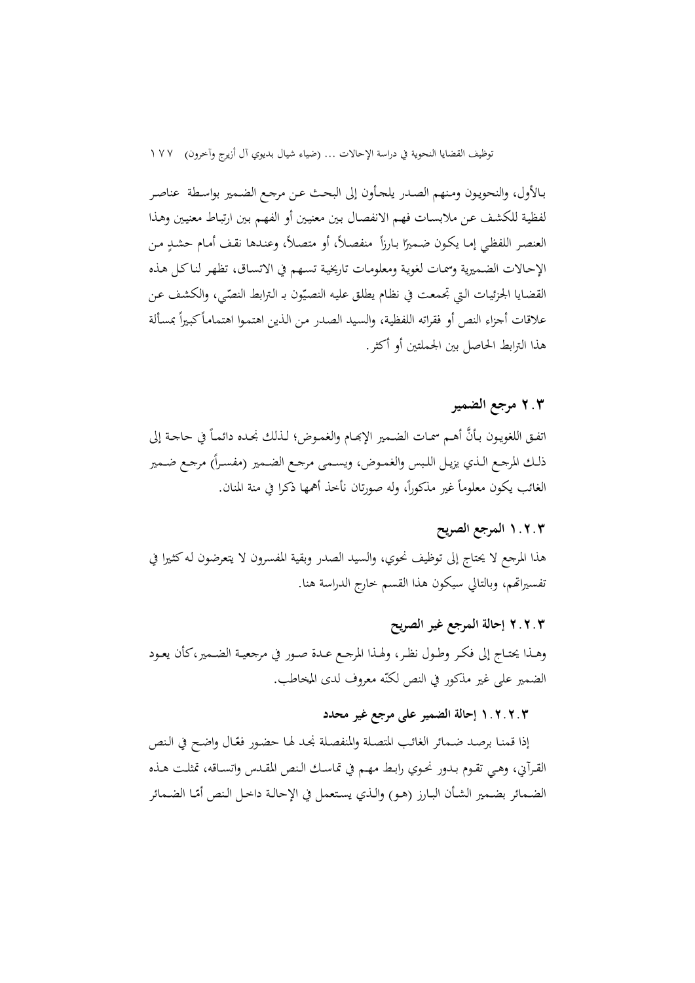توظيف القضايا النحوية في دراسة الإحالات ... (ضياء شيال بديوي آل أزيرج وآخرون) ١٧٧

بـالأول، والنحويـون ومـنهم الصـدر يلجـأون إلى البحـث عـن مرجـع الضـمير بواسـطة عنا صـر لفظيـة للكشـف عـن ملابسـات فهـم الانفصـال بـين معنيـين أو الفهـم بـين ارتبـاط معنيـين وهـذا <u>ً</u> العنصر اللفظي إما يكون ضميرًا بارزاً منفصلاً، أو متصلاً، وعندها نقف أمام حشدٍ من الإحـالات الضـميرية وسمـات لغويـة ومعلومـات تاريخيـة تسـهم في الاتسـاق، تظهـر لنـا كـل هـذه القضـايا الجزئيـات الـتي تجمعت في نظـام يطلـق عليـه النصـيّون بـ الـترابط النصّي، والكشف عـن  $\overline{\phantom{a}}$ علاقات أجزاء النص أو فقراته اللفظية، والسيد الصدر من الذين اهتموا اهتماماً كبيراً بمسألة هذا الترابط الحاصل بين الجملتين أو أكثر.

### **٢.٣ مرجع الضمير**

اتفـق اللغويـون بـأنَّ أهـم سمـات الضـمير الإبحـام والغمـوض؛ لـذلك نجـده دائمـاً في حاجـة إلى  $\overline{\phantom{a}}$ ذلك المرجع الـذي يزيـل اللـبس والغمـوض، ويسـمي مرجـع الضمير (مفسـراً) مرجـع ضـمير الغائب يكون معلوماً غير مذكوراً، وله صورتان نأخذ أهمها ذكرا في منة المنان.

### **١.٢.٣ المرجع الصريح**

هذا المرجع لا يحتاج إلى توظيف نحوي، والسيد الصدر وبقية المفسرون لا يتعرضون لـه كثـيرا في تفسيراتهم، وبالتالي سيكون هذا القسم خارج الدراسة هنا.

### **٢.٢.٣ إحالة المرجع غير الصريح**

وهــذا يحتــاج إلى فكــر وطــول نظــر، ولهــذا المرجــع عــدة صــور في مرجعيــة الضــمير،كأن يعــود الضمير على غير مذكور في النص لكنّه معروف لدى المخاطب.<br>-

### **١.٢.٢.٣ إحالة الضمير على مرجع غير محدد**

إذا قمنـا برصـد ضـمـائر الغائب المتصلة والمنفصـلة نجـد لهـا حضـور فعّـال واضـح في الـنص القـرآني، وهــي تقــوم بــدور نحــوي رابــط مهـم في تماســك الــنص المقــدس واتســاقه، تمثلــت هــذه الضمائر بضمير الشأن البارز (هـو) والـذي يستعمل في الإحالـة داخـل الـنص أمّـا الضمائر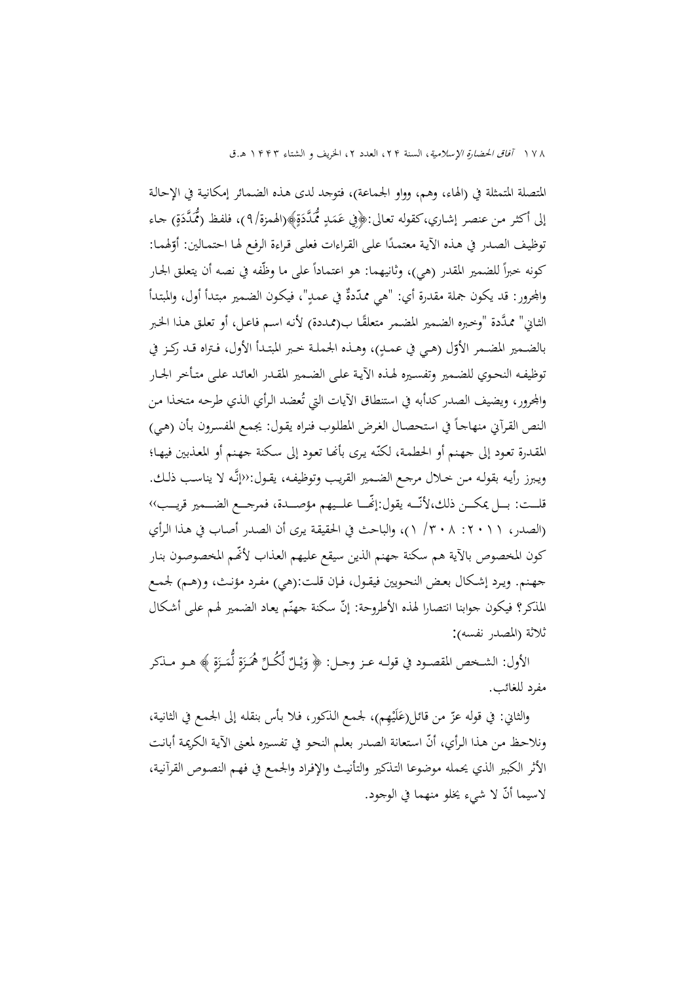١٧٨ آفاق الحضارة الإسلامية، السنة ٢٢، العدد ٢، الخريف و الشتاء ١٣٣٣ هـ.ق

المتصلة المتمثلة في (الهاء، وهم، وواو الجماعة)، فتوجد لدى هـذه الضـمائر إمكانيـة في الإحالـة إلى أكثر من عنصر إشـاري،كقوله تعالى:﴿فِي عَمَدٍ مُمَدَّدَةٍ﴾(الهمزة/٩)، فلفظ (مُمَدَّدَةٍ) جـاء  $\ddot{\phantom{0}}$ ٔ<br>ا  $\overline{a}$  $\ddot{ }$ ً<br>ا ً توظيف الصدر في هـذه الأيـة معتمـدًا علـى القـراءات فعلـى قـراءة الرفـع لهـا احتمـالين: أوّلهمـا:<br>-كونه خبراً للضمير المقدر (هي)، وثانيهما: هو اعتماداً على ما وظّفه في نصه أن يتعلق الجار والمحرور: قد يكون جملة مقدرة أي: "هي ممدّدةٌ في عمدٍ"، فيكون الضمير مبتدأ أول، والمبتدأ .<br>-.<br>م الثـاني" ممـدَّدة "وخبره الضمير المضـمر متعلقًـا ب(ممـددة) لأنـه اسـم فاعـل، أو تعلـق هـذا الخـبر بالضـمير المضـمر الأوّل (هـي في عمـكٍ)، وهـذه الجملـة خـبر المبتـدأ الأول، فـتراه قـد ركـز في توظيفـه النحـوي للضـمير وتفسـيره لهـذه الآيـة علـى الضـمير المقـدر العائـد علـى متـأخر الجـار والمحرور، ويضيف الصدر كدأبه في استنطاق الآيات التي تُعضد الرأي الذي طرحه متخذا من النص القرآني منهاجـاً في استحصـال الغرض المطلوب فنراه يقـول: يجمـع المفسـرون بـأن (هـي) المقدرة تعود إلى جهنم أو الحطمة، لكنّه يرى بأنها تعود إلى سكنة جهنم أو المعذبين فيها؛ ويـبرز رأيـه بقولــه مـن خــلال مرجـع الضــمير القريـب وتوظيفــه، يقـول:‹‹إنــه لا يناسـب ذلــك. قلــت: بـــل يمكـــن ذلك،لأنّـــه يقول:إنّصــا علــيهم مؤصـــدة، فمرجـــع الضـــمير قريــــب›› (الصدر، :٢٠١١ /٣٠٨ ١)، والباحث في الحقيقـة يـرى أن الصـدر أصـاب في هـذا الـرأي كون المخصوص بالآية هم سكنة جهنم الذين سيقع عليهم العذاب لأنَّهم المخصوصون بنار جهـنم. ويــرد إشــكال بعــض النحـويين فيقــول، فــإن قلــت:(هي) مفـرد مؤنــث، و(هــم) لجمــع المُذكر؟ فيكون جوابنا انتصارا لهذه الأطروحة: إنّ سكنة جهنّم يعاد الضمير لهم على أشكال ثلاثة (المصدر نفسه) :

الأول: الشـخص المقصـود في قولـه عـز وجـل: ﴿ وَيْـلٌ لِّكُـلٌ هُمَـزَةٍ لَّمَـزَةٍ ﴾ هـو مــذكر زا<br>ا  $\overline{a}$ زا<br>ا ا<br>ا ْ ي َ مفرد للغائب.

والثاني: في قوله عزّ من قائل(عَلَيْهِم)، لجمع الـذكور، فـلا بـأس بنقلـه إلى الجمع في الثانية، **ٔ** َ ّ ونلاحـظ مـن هـذا الـرأي، أن اسـتعانة الصـدر بعلـم النحـو في تفسـيره لمعـنى الآيـة الكريمـة أبانـت الأثر الكبير الذي يحمله موضوعا التـذكير والتأنيـث والإفـراد والجمـع في فهـم النصـوص القرآنيـة، ّ لاسيما أن لا شيء يخلو منهما في الوجود.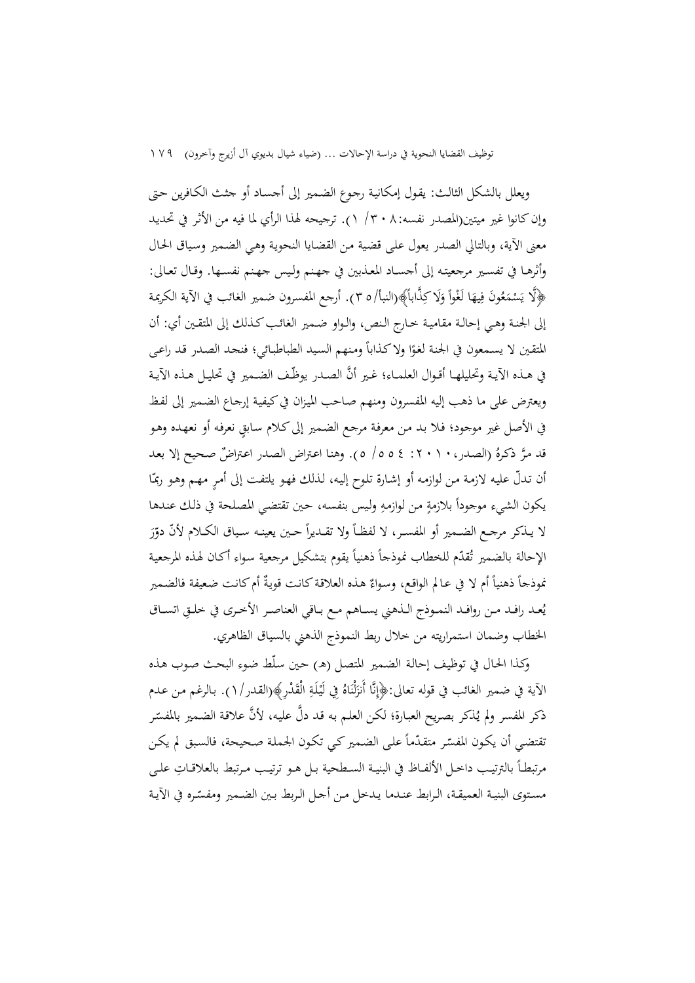ويعلل بالشكل الثالـث: يقـول إمكانيـة رجـوع الضـمير إلى أجسـاد أو جثـث الكـافرين حـتى وإن كانوا غير ميتين(المصدر نفسه: ٣٠٨/ ١). ترجيحه لهذا الرأي لما فيه من الأثر في تحديد معنى الآية، وبالتالي الصدر يعول علـى قضـية مـن القضـايا النحويـة وهـي الضـمير وسـياق الحـال وأثرهـا في تفسـير مرجعيتـه إلى أجسـاد المعـذبين في جهـنم ولـيس جهـنم نفسـها. وقـال تعـالى: ﴿لَّا يَسْمَعُونَ فِيهَا لَغْواً وَلَا كِذَّابِأَ﴾(النبأ/٥ ٣). أرجع المفسرون ضمير الغائب في الآية الكريمة  $\epsilon$ ً<sup>ٍ</sup> ا<br>ا  $\overline{a}$ َ إلى الجنـة وهـي إحالـة مقاميـة خـارج الـنص، والـواو ضـمير الغائـب كـذلك إلى المتقـين أي: أن ً المتقين لا يسمعون في الجنة لغوًا ولاكذاباً ومنهم السيد الطباطبائي؛ فنحد الصدر قد راعى في هــذه الآيـة وتحليلهـا أقـوال العلمـاء؛ غـير أنَّ الصـدر يوظّـف الضـمير في تحليـل هـذه الآيـة ويعترض على ما ذهب إليه المفسرون ومنهم صـاحب الميـزان في كيفيـة إرجـاع الضـمير إلى لفـظ في الأصل غير موجود؛ فـلا بـد مـن معرفـة مرجع الضـمير إلى كـلام سـابق نعرفه أو نعهـده وهـو قد مرَّ ذكرهُ (الصدر، ١ ٢ ٠ ٢ : ٤ ٥ ٥ / ٥). وهنا اعتراض الصدر اعتراضٌ صحيح إلا بعد أن تـدلّ عليـه لازمـة مـن لوازمـه أو إشـارة تلـوح إليـه، لـذلك فـهـو يلتفـت إلى أمـرٍ مـهـم وهـو ربمّـا يكون الشيء موجوداً بلازمةٍ من لوازمهِ وليس بنفسه، حين تقتضي المصلحة في ذلك عندها  $\ddot{\epsilon}$ لا يـنكر مرجـع الضـمير أو المفســر، لا لفظــاً ولا تقـديراً حـين يعينـه سـياق الكــلام لأنَّ دوّرَ َ الإحالة بالضمير تُقدّم للخطاب نموذجاً ذهنياً يقوم بتشكيل مرجعية سواء أكان لهذه المرجعية نموذجاً ذهنياً أم لا في عـالم الواقع، وسواءٌ هـذه العلاقـة كـانت قويةٌ أم كـانـت ضعيفة فالضمير يُعـد رافـد مـن روافـد النمـوذج الـذهني يســاهم مـع بـاقي العناصـر الأخـرى في خلـقِ اتسـاق الخطاب وضمان استمراريته من خلال ربط النموذج الذهني بالسياق الظاهري.

وكـذا الحـال في توظيـف إحالـة الضـمير المتصـل (ه) حـين سـلّط ضـوء البحـث صـوب هـذه الآية في ضمير الغائب في قوله تعالى:﴿إِنَّا أَنزَلْنَاهُ فِي لَيْلَةِ الْقَدْرِ﴾(القدر/١). بالرغم من عـدم **ٔ** .<br>. زا<br>ن ذكر المفسر ولم يُذكر بصريح العبارة؛ لكن العلـم به قـد دلَّ عليه، لأنَّ علاقة الضمير بالمفسّر نقتضي أن يكون المفسّر متقدّماً على الضمير كي تكون الجملة صـحيحة، فالسبق لم يكن  $\overline{\phantom{a}}$ مرتبطاً بالترتيب داخـل الألفـاظ في البنيـة السـطحية بـل هـو ترتيـب مـرتبط بالعلاقـاتِ علـى مستوى البنيـة العميقـة، الـرابط عنـدما يـدخل مـن أجـل الـربط بـين الضـمير ومفسّـره في الآيـة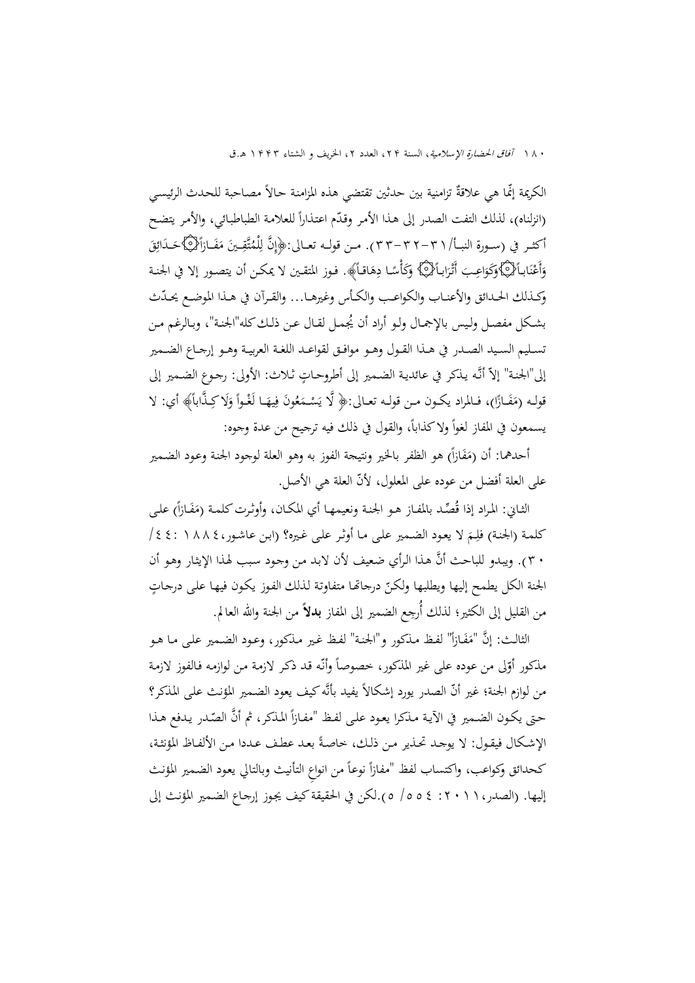٠٨٠ آفا*ق الحضارة الإسلامية*، السنة ٢٢، العدد ٢، الخريف و الشتاء ١٣٤٣ هـ.ق

الكريمة إنما هي علاقةٌ تزامنية بين حدثين تقتضي هذه المزامنة حـالاً مصـاحبة للحدث الرئيسـي (انزلناه)، لذلك التفت الصدر إلى هذا الأمر وقدّم اعتذاراً للعلامة الطباطبائي، والأمر يتضح أكثـر في (سـورة النبـأ/ ٣٦-٣٢ -٣٣). مـن قولـه تعـالى:﴿إِنَّ لِلْمُتَّقِــينَ مَفَـازَاً﴿كَاحَـدَائِقَ<br>.  $\overline{a}$ َ ِ. ِ ِ ِّبَّ<br>ا ِ<br>با .<br>ا َ وَأَعْنَابِـأَلْأَيْكَاوَكَوَاعِـبَ أَتْرَابِـأَلْأَيْكَا وَهَاقِـأَ﴾. فوز المتقين لا يمكـن أن يتصور إلا في الجنـة .<br>. ن ا<br>ا َ َ َ َ ۵<br>ا ¦ ً <u>ئي</u> وَأَعْنَابِٱلْمِهَاكَوَكُوَاعِبَ أَتْرَابِـٱلْمِهَا كَوَكَأْسًا دِهَاقـاً﴾. فـوز المتقـين لا يمكـن أن يتصـور إلا في الجنـة<br>وكـذلك الحـدائق والأعنـاب والكواعـب والكـأس وغيرهـا… والقـرآن في هـذا الموضـع يحـدّث ُ بشـكل مفصـل ولــيس بالإجمـال ولـو أراد أن يجمــل لقـال عـن ذلــك كله"الجنـة"، وبـالرغم مــن تســليم الســيد الصــدر في هــذا القــول وهــو موافــق لقواعــد اللغــة العربيــة وهــو إرجــاع الضــمير إلى"الجنـة" إلاّ أنَّه يذكر في عائديـة الضمير إلى أطروحـاتٍ ثـلاث: الأولى: رجـوع الضـمير إلى ً قولـه (مَفَـازًا)، فـالمراد يكـون مـن قولـه تعـالى:﴿ لَّا يَسْـمَعُونَ فِيهَـا لَغْـواً وَلَا كِـذَّاباً﴾ أي: لا .<br>أ  $\overline{\phantom{a}}$ َ  $\overline{ }$ ا<br>ا  $\overline{a}$ َ يسمعون في المفاز لغواً ولاكذاباً، والقول في ذلك فيه ترجيح من عدة وجوه:

أحدهما: أن (مَفَازاً) هو الظفر بالخير ونتيجة الفوز به وهو العلة لوجود الجنة وعود الضمير .<br>م ا<br>ا ّ على العلة أفضل من عوده على المعلول، لأن العلة هي الأصل.

الثـاني: المراد إذا قُصِّد بالمفـاز هـو الجنـة ونعيمهـا أي المكـان، وأوثـرت كلمـة (مَفَـازاً) علـى  $\overline{a}$ كلمـة (الجنـة) فلِـمَ لا يعـود الضـمير علـى مـا أوثـر علـى غـيره؟ (ابـن عاشـور،٤٤١ / ١٤٤١/ ا ِ ٣٠ ( . ويبـدو للباحـث أن هـذا الـرأي ضـعيف لأن لابـد مـن وجـود سـبب لهـذا الإيثـار وهـو أن الجنة الكل يطمح إليها ويطلبها ولكنّ درجاتها متفاوتة لذلك الفوز يكون فيها على درجاتٍ من القليل إلى الكثير؛ لذلك أُرجِع الضمير إلى المفاز **بدلاً** من الجنة والله العالم.

الثالث: إنَّ "مَفَازاً" لفظ مذكور و"الجنة" لفظ غير مذكور، وعـود الضـمير علـى مـا هـو .<br>أ  $\overline{\phantom{a}}$ ً مذكور أوّلى من عوده على غير المذكور، خصوصاً وأنّه قد ذكر لازمة من لوازمه فالفوز لازمة من لوازم الجنة؛ غير أنّ الصدر يورد إشكالاً يفيد بأنّه كيف يعود الضمير المؤنث على المذكر؟  $\frac{1}{2}$ حتى يكـون الضـمير في الآيـة مـذكرا يعـود علـى لفـظ "مفـازاً المـذكر، ثم أنَّ الصّدر يـدفع هـذا الإشكال فيقول: لا يوجد تحذير من ذلك، خاصةً بعد عطف عددا من الألفـاظ المؤنثة، <u>:</u> ا<br>ا كحدائق وكواعب، واكتساب لفظ "مفازاً نوعاً من انواعِ التأنيث وبالتالي يعود الضمير المؤنث إليها. (الصدر:٢٠١١، /٥٥٤ ٥).لكن في الحقيقة كيف يجـوز إرجـاع الضـمير المؤنـث إلى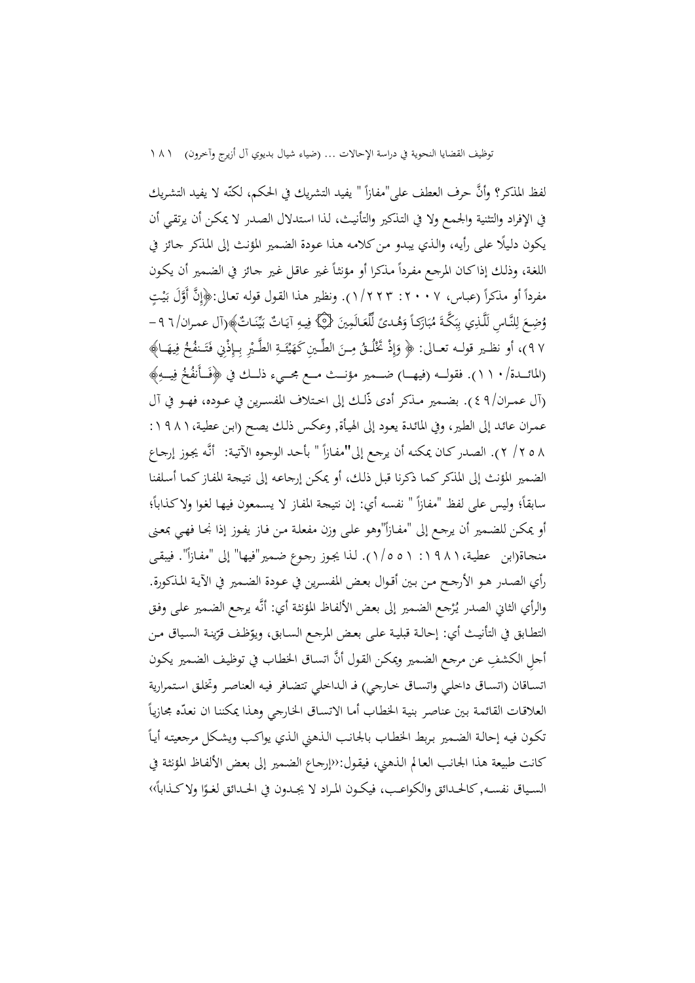لفظ المذكر؟ وأنَّ حرف العطف على"مفازاً " يفيد التشريك في الحكم، لكنّه لا يفيد التشريك ا<br>ا في الإفراد والتثنية والجمـع ولا في التـذكير والتأنيـث، لـذا اسـتدلال الصـدر لا يمكـن أن يرتقـي أن ً يكون دلـيلا علـى رأيـه ، والـذي يبـدو مـن كلامـه هـذا عـودة الضـمير المؤنـث إلى المـذكر جـائز في اللغة، وذلك إذاكان المرجع مفرداً مذكرا أو مؤنثاً غير عاقل غير جائز في الضمير أن يكون مفرداً أو مذكراً (عباس، ٢٠٠٧: ٢٢٣ ١/ ١). ونظير هذا القول قوله تعالى:﴿إِنَّ أَوَّلَ بَيْتٍ **∶** ي بہ<br>: ا وُضِعَ لِلنَّاسِ لَلَّذِي بِبَكَّةَ مُبَارَكاً وَهُدىً لِّلْعَالَمِينَ {۞ فِيهِ آيَاتٌ بَيِّنَاتٌ﴾(آل عمـران/ ٦ ٩ -َ .<br>ا ب <u>ة</u> .<br>أ ب ِ ِ  $\zeta$ َ ً َ ب<br>. ٩٧)، أو نظـير قولــه تعــالى: ﴿ وَإِذْ تَخْلُــقُ مِــنَ الطِّـينِ كَهَيْئَــةِ الطَّـيْرِ بِـإِذْنِي فَتَـنفُخُ فِيهَــا﴾ ِ إ َ َ <u>ً</u> ت َ ِ ْ َ ئ .<br>: ي  $\Leftrightarrow$ (المائـــدة/١١٠/. فقولـــه (فيهـــا) ضـــمير مؤنـــث مـــع مجـــيء ذلــك في ﴿فَــأَنفُخُ فِيــهِ﴾ َ (آل عمــران٤٩/). بضــمير مــذكر أدى ذّلــك إلى اخــتلاف المفســرين في عــوده، فهــو في آل عمـران عائـد إلى الطـير، وفي المائـدة يعـود إلى الهيـأة, وعكـس ذلـك يصـح (ابـن عطيـة:١٩٨١، ٨ ٥ ٢ / ٢ ). الصدر كـان يمكنه أن يرجع إلى"مفـازاً " بأحـد الوجـوه الآتيـة: أنَّه يجوز إرجـاع الضمير المؤنث إلى المذكر كما ذكرنا قبـل ذلـك، أو يمكـن إرجاعـه إلى نتيجـة المفـاز كمـا أسـلفنا سابقاً؛ وليس على لفظ "مفازاً " نفسه أي: إن نتيجة المفاز لا يسمعون فيها لغوا ولا كذاباً؛  $\overline{a}$ أو يمكن للضمير أن يرجع إلى "مفـازاً"وهو علىي وزن مفعلة من فـاز يفـوز إذا نجـا فهـي بمعنى منحاة(ابن عطية،١٩٨١: ٥٥١/١). لذا يجوز رجموع ضمير"فيها" إلى "مفـازاً". فيبقى رأي الصـدر هـو الأرجـح مـن بـين أقـوال بعـض المفسـرين في عـودة الضـمير في الآيـة المـذكورة. والرأي الثاني الصدر يُرْجع الضمير إلى بعض الألفاظ المؤنثة أي: أنَّه يرجع الضمير على وفق التطـابق في التأنيـث أي: إحالـة قبليـة علـى بعـض المرجـع السـابق، ويوّظـف قرّينـة السـياق مـن<br>. أجلِ الكشفِ عن مرجع الضمير ويمكن القول أنَّ اتساق الخطاب في توظيف الضمير يكون اتسـاقان (اتسـاق داخلـي واتسـاق خـارجي) فــ الـداخلي تتضـافر فيـه العناصـر وتخلـق اسـتمرارية العلاقات القائمة بين عناصر بنية الخطاب أما الاتساق الخارجي وهذا يمكننا ان نعدّه مجازياً العلاقات القائمة بين عناصر بنية الخطاب أما الاتساق الخارجي وهذا يمكننا ان نعدّه مجازياً<br>تكون فيه إحالة الضمير بربط الخطاب بالجانب الذهني الذي يواكب ويشكل مرجعيته أياً كانت طبيعة هذا الجانـب العـالم الـذهني ، فيقـول:‹‹إرجـاع الضـمير إلى بعـض الألفـاظ المؤنثـة في السـياق نفسـه, كالحـدائق والكواعـب، فيكـون المراد لا يجـدون في الحـدائق لغـوًا ولا كـذاباً›› ً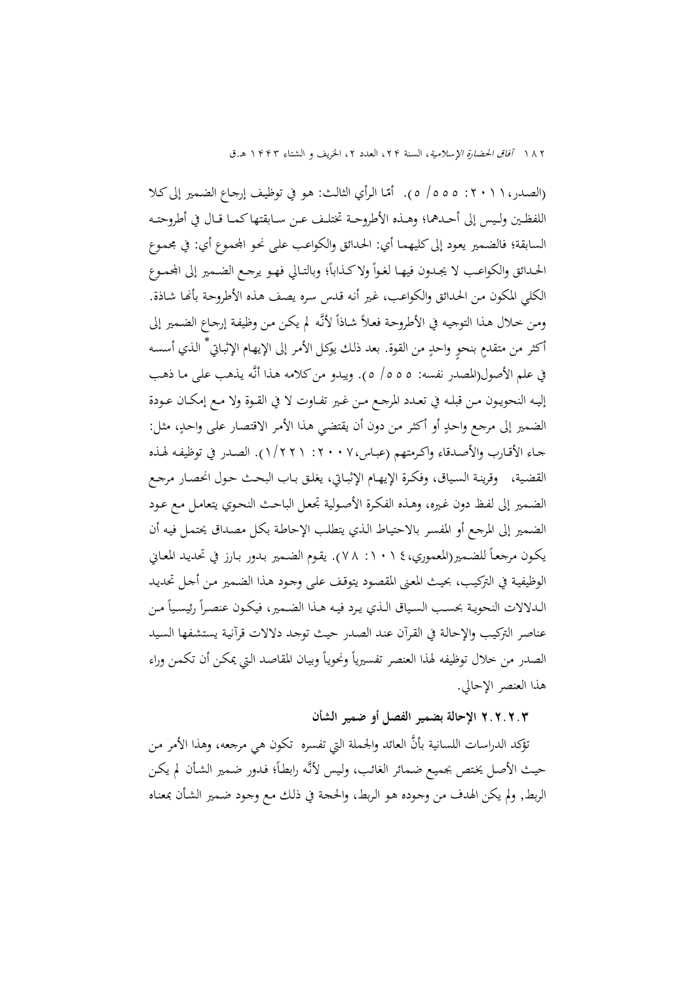١٨٢ آفاق الحضارة الإسلامية، السنة ٢٢، العدد ٢، الخريف و الشتاء ١٣٣٣ هـ.ق

(الصدر، ١ ١ • ٢: ٥٥٥/ ٥). أمّا الرأي الثالث: هو في توظيف إرجاع الضمير إلى كـلا اللفظــين ولــيس إلى أحــدهما؛ وهــذه الأطروحــة تختلــف عــن ســابقتها كمــا قــال في أطروحتــه السابقة؛ فالضمير يعود إلى كليهمـا أي: الحدائق والكواعب على نحو المحموع أي: في مجموع الحـدائق والكواعـب لا يجـدون فيهـا لغـواً ولاكـذاباً؛ وبالتـالي فهـو يرجـع الضـمير إلى المحمـوع الكلي المكون مـن الحـدائق والكو اعـب، غـير أنـه قـدس سـره يصـف هـذه الأطروحـة بأـا شـاذة. ومن خلال هـذا التوجيه في الأطروحـة فعـلاً شـاذاً لأنّـه لم يكـن مـن وظيفـة إرجـاع الضـمير إلى أكثر من متقدمٍ بنحوٍ واحدٍ من القوة. بعد ذلك يوكل الأمر إلى الإيهـام الإثبـاتي ٌ الذي أسسـه في علم الأصول(المصدر نفسه: /٥٥٥ ٥ ). ويبدو من كلامه هـذا أنـه يـذهب علـى مـا ذهـب إليــه النحويــون مــن قبلــه في تعــدد المرجــع مــن غــير تفــاوت لا في القــوة ولا مــع إمكــان عــودة الضمير إلى مرجـع واحـدٍ أو أكثـر مـن دون أن يقتضـي هـذا الأمـر الاقتصـار علـى واحـد،ٍ مثـل: جـاء الأقـارب والأصـدقاء واكـرمتهم (عبـاس:٢٠٠٧، ١/٢٢١ ). الصـدر في توظيفـه لهـذه القضـية، وقرينـة السـياق، وفكـرة الإيهـام الإثبــاتي، يغلـق بـاب البحـث حـول انحصـار مرجـع الضـمير إلى لفـظ دون غـيره، وهـذه الفكـرة الأصـولية تجعـل الباحـث النحـوي يتعامـل مـع عـود الضـمير إلى المرجـع أو المفسـر بالاحتيـاط الـذي يتطلـب الإحاطـة بكـل مصـداق يحتمـل فيـه أن يكـون مرجعـاً للضـمير(المعموري، ١ ١٠١ : ٧٨). يقـوم الضـمير بـدور بـارز في تحديـد المعـاني الوظيفيـة في التركيـب، بحيـث المعـنى المقصـود يتوقـف علـى وجـود هـذا الضـمير مـن أجـل تحديـد الـدلالات النحويـة بحسـب السـياق الـذي يـرد فيـه هـذا الضـمير، فيكـون عنصـراً رئيسـياً مـن عناصـر التركيـب والإحالـة في القـرآن عنـد الصـدر حيـث توجـد دلالات قرآنيـة يستشـفها السـيد الصدر من خلال توظيفه لهذا العنصر تفسيرياً ونحوياً وبيان المقاصد التي يمكن أن تكمن وراء هذا العنصر الإحالي.

### **٢.٢.٢.٣ الإحالة بضمير الفصل أو ضمير الشأن**

تؤكد الدراسات اللسانية بأنَّ العائد والجملة التي تفسره تكون هي مرجعه، وهذا الأمر من حيث الأصل يختص بجميع ضمائر الغائب، وليس لأنَّه رابطاً؛ فدور ضمير الشأن لم يكن الربط, ولم يكن الهدف من وجـوده هـو الـربط، والحجـة في ذلـك مـع وجـود ضـمير الشـأن بمعنـاه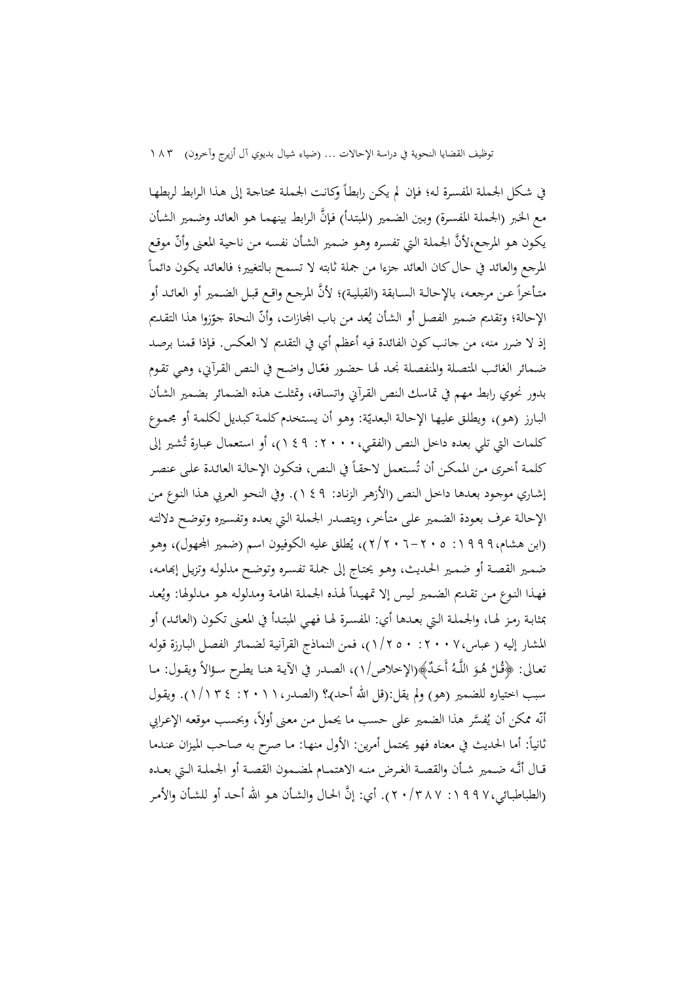في شكل الجملة المفسرة له؛ فإن لم يكن رابطاً وكانت الجملة محتاجة إلى هذا الرابط لربطها مـع الخبر (الجملة المفسرة) وبين الضمير (المبتدأ) فإنَّ الرابط بينهمـا هـو العائد وضمير الشأن يكون هو المرجع،لأنَّ الجملة التي تفسره وهو ضمير الشأن نفسه من ناحية المعنى وأنّ موقع المرجع والعائد في حال كان العائد جزءا من جملة ثابته لا تسمح بالتغيير؛ فالعائد يكون دائماً متأخراً عـن مرجعـه، بالإحالـة السـابقة (القبليـة)؛ لأنَّ المرجـع واقـع قبـل الضـمير أو العائـد أو الإحالة؛ وتقديم ضمير الفصل أو الشأن يُعد من باب المحازات، وأنَّ النحاة جوّزوا هذا التقديم إذ لا ضرر منه، من جانب كون الفائدة فيه أعظم أي في التقديم لا العكـس. فـإذا قمنـا برصـد ضمائر الغائب المتصلة والمنفصلة نحد لها حضور فعّـال واضح في النص القرآني، وهي تقوم بدور نحوي رابط مهم في تماسك الـنص القـرآني واتسـاقه، وتمثلـت هـذه الضـمائر بضـمير الشـأن البارز (هو)، ويطلق عليها الإحالة البعديّة: وهو أن يستخدم كلمة كبديل لكلمة أو مجموع كلمات التي تلي بعده داخل النص (الفقي،٢٠٠٠، ٩ : ٢)، أو استعمال عبارة تُشير إلى كلمة أخرى من المكن أن تُستعمل لاحقاً في النص، فتكون الإحالة العائدة على عنصر إشـاري موجـود بعـدها داخـل الـنص (الأزهـر الزنـاد: ١٤٩). وفي النحـو العـربي هـذا النـوع مـن الإحالـة عـرف بعـودة الضـمير علـى متـأخر، ويتصـدر الجملـة الـتي بعـده وتفسـيره وتوضـح دلالتـه (ابن هشام، ١٩٩٩: ٢٠٥-٢٠١٦)، يُطلق عليه الكوفيون اسم (ضمير المجهول)، وهـو ضمـير القصـة أو ضمـير الحـديث، وهـو يحتـاج إلى جملـة تفسـره وتوضـح مدلولـه وتزيـل إبهامـه، فهذا النوع من تقديم الضمير ليس إلا تمهيداً لهذه الجملة الهامة ومدلوله هو مدلولها: ويُعد بمثابـة رمـز لهـا ، والجملـة الـتي بعـدها أي: المفسـرة لهــا فهـي المبتـدأ في المعـنى تكـون (العائـد) أو المشار إليه ( عباس:٢٠٠٧، ١/٢٥٠)، فمن النماذج القرآنيـة لضـمائر الفصـل البـارزة قولـه نعـالى: ﴿قُلْ هُـوَ اللَّـهُ أَحَدٌ﴾(الإخلاص/١)، الصـدر في الآيـة هنـا يطرح سـؤالاً ويقـول: مـا م<br>ر <sup>ٔ</sup> سبب اختياره للضمير (هو) ولم يقل:(قل االله أحد)ـ؟ (الصـدر:٢٠١١، ١/١٣٤). ويقـول أنّه ممكن أن يُفسَّر هذا الضمير على حسب ما يحمل من معنى أولاً، وبحسب موقعه الإعرابي :ً أما الحديث في معناه فهو يحتمل أمرين: الأول منهـا: مـا صـرح بـه صـاحب الميـزان عنـدما ثانيا قــال أنــه ضــمير شــأن والقصــة الغــرض منــه الاهتمــام لمضــمون القصــة أو الجملــة الــتي بعــده (الطباطبائي،١٩٩٧: ٢٠/٣٨٧). أي: إنَّ الحال والشأن هـو الله أحـد أو للشأن والأمر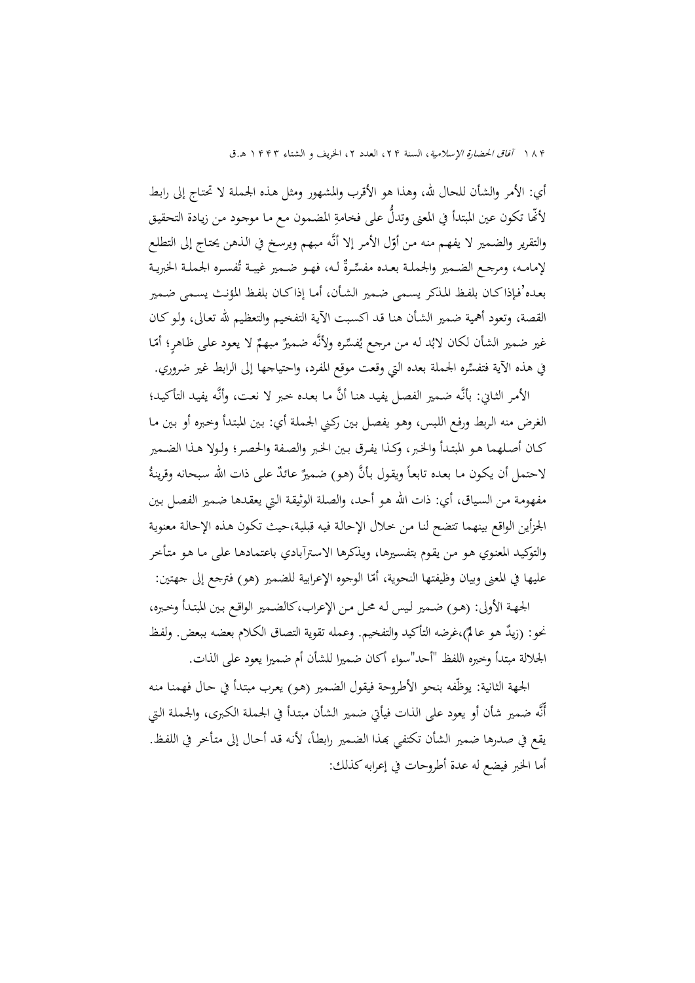١٨۴ آفاق الحضارة الإسلامية، السنة ٢٢، العدد ٢، الخريف و الشتاء ١٣٢٣ هـ.ق

أي: الأمر والشأن للحال الله، وهذا هو الأقرب والمشهور ومثل هـذه الجملـة لا تحتـاج إلى رابـط لأُنَّها تكون عين المبتدأ في المعنى وتدلُّ على فخامةِ المضمون مع ما موجود من زيادة التحقيق <u>ہ</u> والتقرير والضمير لا يفهـم منـه مـن أوّل الأمـر إلا أنّه مبـهـم ويرسـخ في الـذهـن يحتـاج إلى التطلـع<br>-ــ لإمامـه، ومرجـع الضـمير والجملـة بعـده مفسِّـرةً لـه، فهـو ضـمير غيبـة تُفسـره الجملـة الخبريـة بعـده'فـإذا كـان بلفـظ المـذكر يسـمى ضـمير الشـأن، أمـا إذا كـان بلفـظ المؤنـث يسـمى ضـمير القصة، وتعود أهمية ضمير الشـأن هنـا قـد اكسـبت الآيـة التفخـيم والتعظـيم الله تعـالى، ولـو كـان غير ضمير الشأن لكان لابُد له من مرجع يُفسِّره ولأنَّه ضميرٌ مبهمٌ لا يعود على ظاهرٍ؛ أمّا في هذه الآية فتفس ره الجملة بعده التي وقعت موقع المفرد، واحتياجها إلى الرابط غير ضروري.

الأمـر الثـاني: بأنَّه ضـمير الفصـل يفيـد هنـا أنَّ مـا بعـده خـبر لا نعـت، وأنَّه يفيـد التأكيـد؛ الغرض منه الـربط ورفـع اللـبس، وهـو يفصـل بـين ركـني الجملـة أي: بـين المبتـدأ وخـبره أو بـين مـا كـان أصـلهما هـو المبتـدأ والخـبر، وكـذا يفـرق بـين الخـبر والصـفة والحصـر؛ ولـولا هـذا الضـمير لاحتمل أن يكون ما بعده تابعاً ويقول بأنَّ (هو) ضميرٌ عائذٌ على ذات الله سبحانه وقرينةُ مفهومـة مـن السـياق، أي: ذات االله هـو أحـد، والصـلة الوثيقـة الـتي يعقـدها ضـمير الفصـل بـين الجزأين الواقع بينهما تتضح لنـا مـن خـلال الإحالـة فيـه قبليـة،حيث تكـون هـذه الإحالـة معنويـة والتوكيـد المعنـوي هـو مـن يقـوم بتفسـيرها، ويـذكرها الاسـترآبادي باعتمادهـا علـى مـا هـو متـأخر عليها في المعنى وبيان وظيفتها النحوية، أمّا الوجوه الإعرابية للضمير (هو) فترجع إلى جهتين:<br>-

الجهـة الأولى: (هـو) ضـمير لـيس لـه محـل مـن الإعراب،كالضـمير الواقـع بـين المبتـدأ وخـبره، نحو: (زيدٌ هو عالمٌ)،غرضه التأكيد والتفخيم. وعمله تقوية التصاق الكلام بعضه ببعض. ولفظ الجلالة مبتدأ وخبره اللفظ "أحد"سواء أكان ضميرا للشأن أم ضميرا يعود على الذات.

الجهة الثانية: يوظّفه بنحو الأطروحة فيقول الضـمير (هـو) يعـرب مبتـدأ في حـال فهمنـا منـه أّنه ضمير شأن أو يعود على الذات فيأتي ضمير الشأن مبتـدأ في الجملـة الكـبرى، والجملـة الـتي يقع في صدرها ضمير الشأن تكتفي بمذا الضمير رابطاً، لأنه قد أحال إلى متأخر في اللفظ. أما الخبر فيضع له عدة أطروحات في إعرابه كذلك: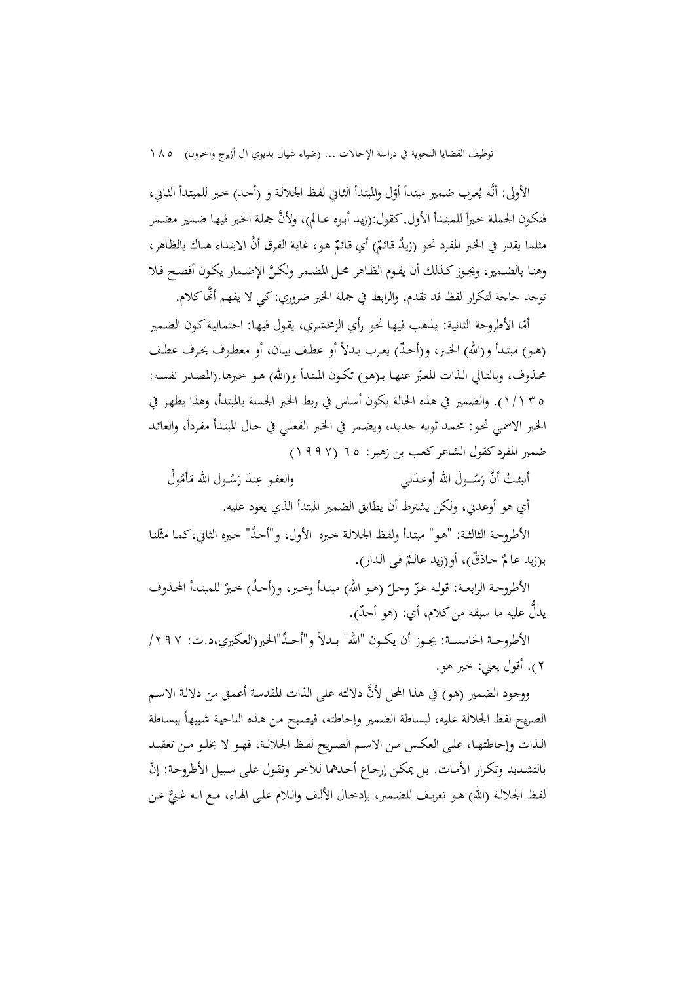الأولى: أنَّه يُعرب ضمير مبتدأ أوّل والمبتدأ الثـاني لفظ الجلالـة و (أحـد) خبر للمبتدأ الثـاني،<br>-فتكون الجملة خبراً للمبتدأ الأول, كقول:(زيد أبوه عـالم)، ولأنَّ جملة الخبر فيها ضمير مضمر  $\overline{a}$ مثلما يقدر في الخبر المفرد نحو (زيدٌ قائمٌ) أي قائمٌ هو، غاية الفرق أنَّ الابتداءِ هناك بالظاهر،<br>. وهنا بالضمير، ويجوز كـذلك أن يقـوم الظـاهر محـل المضـمر ولكـنَّ الإضـمار يكـون أفصـح فـلا توجد حاجة لتكرار لفظ قد تقدم, والرابط في جملة الخبر ضروري: كي لا يفهم أا كلام.

أمّا الأطروحة الثانية: يذهب فيهـا نحو رأي الزمخشري، يقول فيهـا: احتمالية كون الضمير ٌ (هـو) مبتـدأ و(االله) الخـبر، و(أحـد) يعـرب بــدلاً أو عطـف بيـان، أو معطـوف بحـرف عطــف محـذوف، وبالتـالي الـذات المعبّر عنهـا بـ(هو) تكـون المبتـدأ و(الله) هـو خبرهـا.(المصـدر نفسـه: ١/١٣٥). والضمير في هذه الحالة يكون أساس في ربط الخبر الجملة بالمبتدأ، وهذا يظهـر في الخبر الاسمي نحو: محمـد ثوبـه جديـد، ويضـمر في الخبر الفعلـي في حـال المبتـدأ مفـرداً، والعائـد ضمير المفرد كقول الشاعر كعـب بن زهيـر: ٦٥ ( ١٩٩٧)

أنبئـتُ أنَّ رَسُــولَ الله أوعـدَني َ والعفو عِندَ رَسُـول الله مَأْمُولُ  $\overline{a}$ َ .<br>ا

أي هو أوعدني، ولكن يشترط أن يطابق الضمير المبتدأ الذي يعود عليه.

الأطروحة الثالثـة: "هـو" مبتدأ ولفظ الجلالـة خبره الأول، و"أحدٌ" خبره الثاني،كما مثّلنا بـ(زيد عالمٌ حـاذقٌ)، أو(زيد عالـمٌ فـي الـدار).<br>.

الأطروحـة الر ّ ابعــة: قولـه عـز ّ ٌ ٌ (هـو االله) مبتـدأ وخـبر، و(أحـد وجـل ) خـبر للمبتـدأ المحـذوف يدلٌ عليه ما سبقه من كلام، أي: (هو أحدٌ).

الأطروحــة الخامســـة: يجــوز أن يكــون "الله" بــدلاً و"أحــدٌ"الخبر(العكبري،د.ت: ٢٩٧/ ٢). أقول يعني: خبر هو.

ووجود الضمير (هو) في هذا المحل لأنَّ دلالته على الذات المقدسة أعمـق من دلالـة الاسـم الصريح لفظ الجلالة عليه، لبساطة الضمير وإحاطته، فيصبح من هـذه الناحية شبيهاً ببسـاطة الـذات وإحاطتهــا، علـى العكــس مــن الاسـم الصــريح لفـظ الجلالــة، فهــو لا يخلـو مــن تعقيــد بالتشـديد وتكرار الأمـات. بـل يمكـن إرجـاع أحـدهما للآخر ونقول علـى سبيل الأطروحـة: إنَّ لفـظ الجلالـة (الله) هـو تعريـف للضـمير، بإدخـال الألـف والـلام علـى الهـاء، مـع انـه غـنيٌّ عـن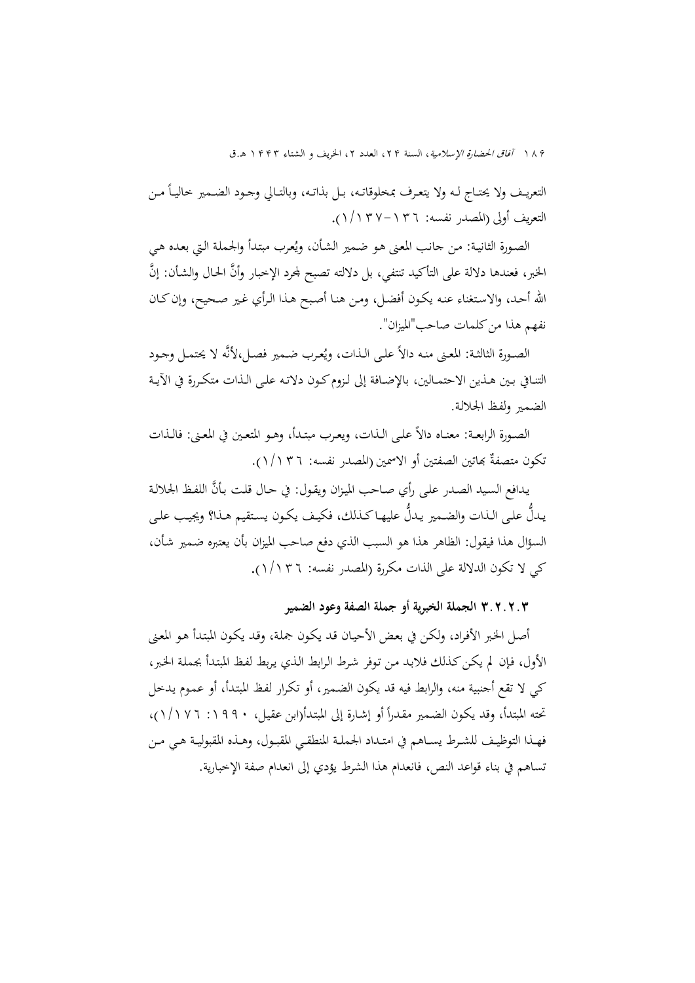١٨٩ *آفاق الحضارة الإسلامية*، السنة ٢٢، العدد ٢، الخريف و الشتاء ١۴۴٣ هـ.ق

التعريــف ولا يحتــاج لـه ولا يتعـرف بمخلوقاتـه، بـل بذاتـه، وبالتـالي وجـود الضـمير خاليــاً مـن التعريف أولى (المصدر نفسه: -١٣٦ ١/١٣٧) .

الصـورة الثانيـة: مـن جـانب المعنى هـو ضمـير الشـأن، ويُعرب مبتدأ والجـملة التي بعـده هـي الخبر، فعندها دلالة على التأكيد تنتفي، بل دلالته تصبح لمحرد الإخبار وأنَّ الحال والشأن: إنَّ االله أحـد، والاسـتغناء عنـه يكـون أفضـل، ومـن هنـا أصـبح هـذا الـرأي غـير صـحيح، وإن كـان نفهم هذا من كلمات صاحب"الميزان".

الصـورة الثالثـة: المعنى منـه دالاً علـى الـذات، ويُعرب ضـمير فصـل،لأنَّه لا يحتمـل وجـود التنـافي بــين هــذين الاحتمــالين، بالإضــافة إلى لــزوم كــون دلاتــه علــى الــذات متكــررة في الآيــة الضمـير ولفـظ الجلالـة.

الصـورة الرابعــة: معنــاه دالاً علــي الـذات، ويعـرب مبتـدأ، وهـو المتعـين في المعـني: فالـذات نكون متصفةٌ بماتين الصفتين أو الاسمين (المصدر نفسه: ١/١٣٦).

يدافع السيد الصدر على رأي صـاحب الميزان ويقول: في حـال قلت بـأنَّ اللفـظ الجلالـة يدلُّ على الذات والضمير يدلُّ عليهـا كـذلك، فكيف يكون يستقيم هـذا؟ ويجيب على السؤال هذا فيقول: الظاهر هذا هو السبب الذي دفع صاحب الميزان بأن يعتبره ضـمير شـأن، كي لا تكون الدلالة على الذات مكررة (المصدر نفسه: ١/١٣٦) .

**٣.٢.٢.٣ الجملة الخبرية أو جملة الصفة وعود الضمير** 

أصـل الخـبر الأفـراد، ولكـن في بعـض الأحيـان قـد يكـون جملـة، وقـد يكـون المبتـدأ هـو المعـنى الأول، فـإن لم يكـن كـذلك فلابـد مـن تـوفر شـرط الـرابط الـذي يـربط لفـظ المبتـدأ بجملـة الخـبر، كي لا تقع أجنبية منه، والرابط فيه قد يكون الضـمير، أو تكـرار لفـظ المبتـدأ، أو عمـوم يـدخل تحته المبتدأ، وقد يكون الضمير مقدراً أو إشـارة إلى المبتدأ(ابن عقيل، ١٩٩٠: ١/١٧٦)، فهــذا التوظيــف للشــرط يســاهم في امتــداد الجملــة المنطقــي المقبــول، وهــذه المقبوليــة هــي مــن تساهم في بناء قواعد النص، فانعدام هذا الشرط يؤدي إلى انعدام صفة الإخبارية.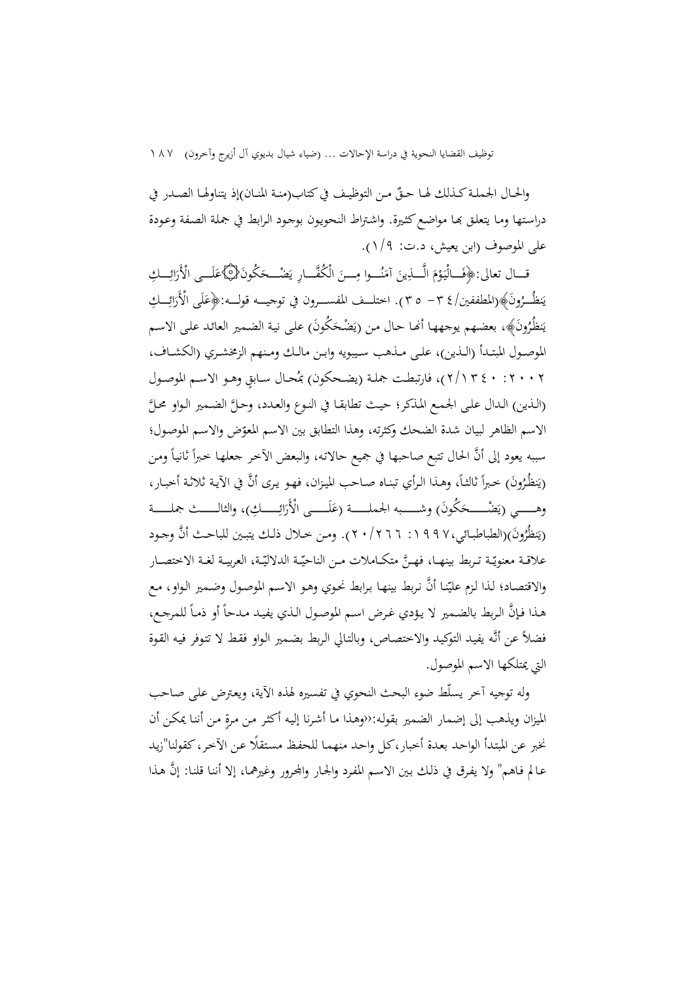توظيف القضايا النحوية في دراسة الإحالات ... (ضياء شيال بديوي آل أزيرج وآخرون) ١٨٧

والحـال الجملـة كـذلك لهـا حـقٌ مـن التوظيـف في كتاب(منـة المنــان)إذ يتناولهـا الصـدر في دراستها ومـا يتعلق بما مواضع كثيرة. واشتراط النحويون بوجود الرابط في جملة الصفة وعودة على الموصوف (ابن يعيش، د.ت: ١/٩ .)

قــال تعالى:﴿فَــالْيَوْمَ الَّـــٰذِينَ آمَنُـــوا مِـــنَ الْكُفَّــارِ يَضْـــحَكُونَ{۞}عَلَــى الْأَرَائِـــكِ َ َ ن  $\overline{\phantom{a}}$ َ َ <u>ٔ</u>  $\ddot{\phantom{0}}$ َ َ يَنظُــرُونَ﴾(المطففين/٤ ٣ - ٣٥). اختلــف المفســرون في توجيـــه قولـــه:﴿عَلَى الْأَرَائِـــكِ<br>. نٍ َ َ يَنظُرُونَ﴾، بعضهم يوجهها أنَّما حال من (يَضْحَكُونَ) على نية الضمير العائد على الاسم ية<br>-َ الموصــول المبتــدأ (الــذين) ، علــى مــذهب ســيبويه وابــن مالــك ومــنهم الزمخشــري (الكشــاف، ٢ ٠٠٢: ٤٠ ٢/١٣)، فارتبطت جملـة (يضـحكون) بمُحـال سـابقٍ وهـو الاسـم الموصـول (الذين) الـدال على الجمـع المذكر؛ حيـث تطابقـا في النـوع والعـدد، وحـلَّ الضـمير الـواو محـلَّ الاسم الظاهر لبيان شدة الضحك وكثرته، وهذا التطابق بين الاسم المعوّض والاسم الموصول؛ سببه يعود إلى أنَّ الحال تتبع صاحبها في جميع حالاته، والبعض الآخر جعلها خبراً ثانياً ومن  $\overline{a}$ (يَنظُرُونَ) خبراً ثالثـاً، وهـذا الرأي تبنـاه صـاحب الميزان، فهـو يـرى أنَّ في الآيـة ثلاثـة أخبـار،<br>. ية<br>-وهـــــي (يَضْـــــحَكُونَ) وشـــــبه الجملـــــة (عَلَـــــى الْأَرَائِـــــكِ)، والثالــــث جملـــــة َ َ َ (يَنظُرُونَ)(الطباطبـائي،٩٩٧ ٩ ١ : ٢٠/٢٦٦). ومن خـلال ذلـك يتبـين للباحـث أنَّ وجـود نٍ علاقــة معنويّــة تــربط بينهــا، فهــنَّ متكــاملات مــن الناحيّــة الدلاليّــة، العربيــة لغــة الاختصــار والاقتصـاد؛ لذا لـزم عليّنـا أنَّ نـربط بينهـا بـرابط نحـوي وهـو الاسـم الموصـول وضـمير الـواو، مـع هـذا فـإنَّ الربط بالضمير لا يؤدي غرض اسم الموصول الذي يفيـد مـدحاً أو ذمـاً للمرجـع،  $\overline{\phantom{a}}$ فضلاً عن أنـه يفيـد التوكيـد والاختصـاص ، وبالتـالي الـربط بضـمير الـواو فقـط لا تتـوفر فيـه القـوة التي يمتلكها الاسم الموصول.

وله توجيه آخر يسلّط ضوء البحث النحوي في تفسيره لهذه الآية ، ويعـترض علـى صـاحب الميزان ويذهب إلى إضمار الضمير بقوله:‹‹وهـذا مـا أشـرنا إليه أكثـر مـن مرة مـن أننا يمكـن أن نخبر عن المبتدأ الواحد بعدة أخبار،كل واحد منهما للحفظ مستقلًا عن الآخر، كقولنا"زيد عـالم فـاهم" ولا يفـرق في ذلـك بـين الاسـم المفـرد والجـار واـرور وغيرهمـا، إلا أننـا قلنـا: إن هـذا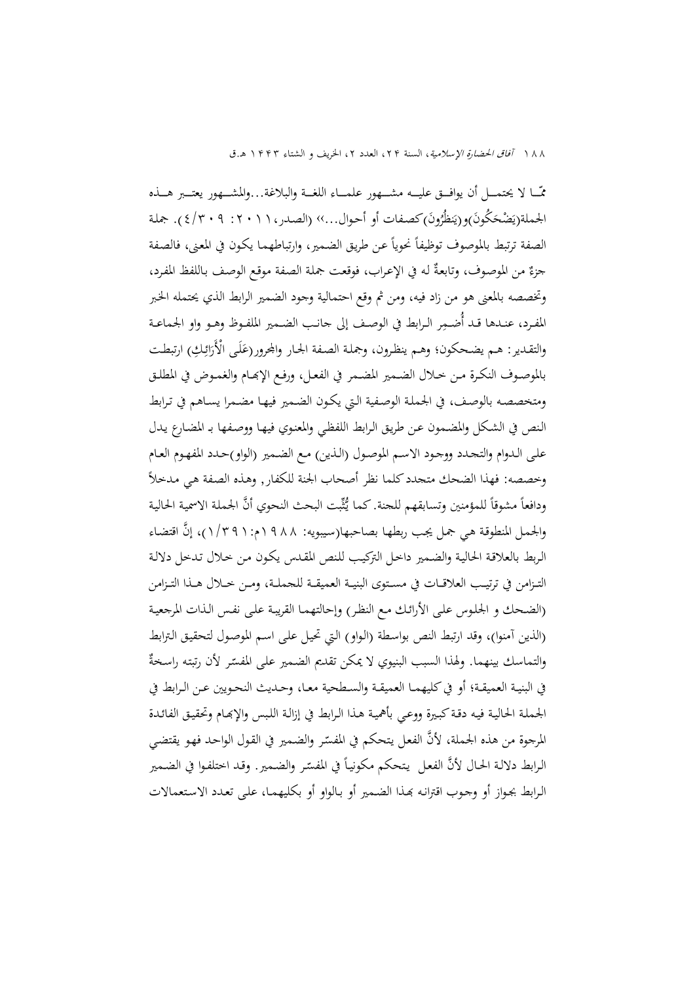١٨٨ آفاق الحضارة الإسلامية، السنة ٢٢، العدد ٢، الخريف و الشتاء ١٣٣٣ هـ.ق

مّــــا لا يحتمـــل أن يوافـــق عليــــه مشـــهور علمـــاء اللغـــة والبلاغة...والمشـــهور يعتـــبر هـــذه الجملة(يَضْحَكُونَ)و(يَنظُّرُونَ)كصفات أو أحوال...» (الصدر،١١١: ٢٠١٩) ٤). جملة نٍ َ الصفة ترتبط بالموصوف توظيفاً نحوياً عن طريق الضمير، وارتباطهما يكون في المعنى، فالصفة جزءٌ من الموصوف، وتابعةٌ له في الإعراب، فوقعت جملة الصفة موقع الوصف باللفظ المفرد، وتخصصه بالمعنى هو من زاد فيه، ومن ثم وقع احتمالية وجود الضمير الرابط الذي يحتمله الخـبر المفــرد، عنــدها قــد أُضــمِر الــرابط في الوصــف إلى جانــب الضــمير الملفــوظ وهــو واو الجماعــة والتقدير: هـم يضـحكون؛ وهـم ينظرون، وجملة الصفة الجـار والجرور(عَلَى الْأَرَائِكِ) ارتبطت َ َ بالموصــوف النكــرة مــن خــلال الضــمير المضــمر في الفعــل، ورفــع الإــام والغمــوض في المطلــق ومتخصصـه بالوصـف، في الجملـة الوصـفية الـتي يكـون الضـمير فيهـا مضـمرا يسـاهم في تـرابط الـنص في الشـكل والمضـمون عـن طريـق الـرابط اللفظـي والمعنـوي فيهـا ووصـفها بـ المضـارع يـدل علـى الـدوام والتجـدد ووجـود الاسـم الموصـول (الـذين) مـع الضـمير (الواو)حـدد المفهـوم العـام وخصصه: فهذا الضحك متجدد كلما نظر أصحاب الجنة للكفار, وهـذه الصـفة هـي مـدخلاً ودافعاً مشوقاً للمؤمنين وتسابقهم للجنة. كما يُثّبت البحث النحوي أنّ الجملة الاسمية الحالية والجمعل المنطوقة هبي جمل يجب ربطهـا بصاحبها(سيبويه: ١٩٨٨م: ١٩٦١/٢)، إنَّ اقتضاء الـربط بالعلاقـة الحاليـة والضـمير داخـل التركيـب للـنص المقـدس يكـون مـن خـلال تـدخل دلالـة التــزامن في ترتيــب العلاقــات في مســتوى البنيــة العميقـــة للجملــة، ومــن خــلال هــذا التــزامن (الضـحك و الجلـوس علـى الأرائـك مـع النظـر) وإحالتهمـا القريبـة علـى نفـس الـذات المرجعيـة (الذين آمنوا)، وقد ارتبط النص بواسـطة (الـواو) الـتي تحيـل علـى اسـم الموصـول لتحقيـق الـترابط والتماسك بينهما. ولهذا السبب البنيوي لا يمكن تقديم الضمير على المفسّر لأن رتبته راسخةٌ في البنيــة العميقــة؛ أو في كليهمــا العميقــة والســطحية معــا، وحــديث النحــويين عــن الــرابط في الجملـة الحاليـة فيـه دقـة كبـيرة ووعـي بأهميـة هـذا الـرابط في إزالـة اللـبس والإـام وتحقيـق الفائـدة المرجوة من هذه الجملة، لأنَّ الفعل يتحكم في المفسّر والضمير في القول الواحد فهو يقتضي الرابط دلالة الحال لأنَّ الفعل يتحكم مكونياً في المفسّر والضمير . وقد اختلفوا في الضمير  $\overline{\phantom{a}}$ الـرابط بجـواز أو وجـوب اقترانـه ـذا الضـمير أو بـالواو أو بكليهمـا، علـى تعـدد الاسـتعمالات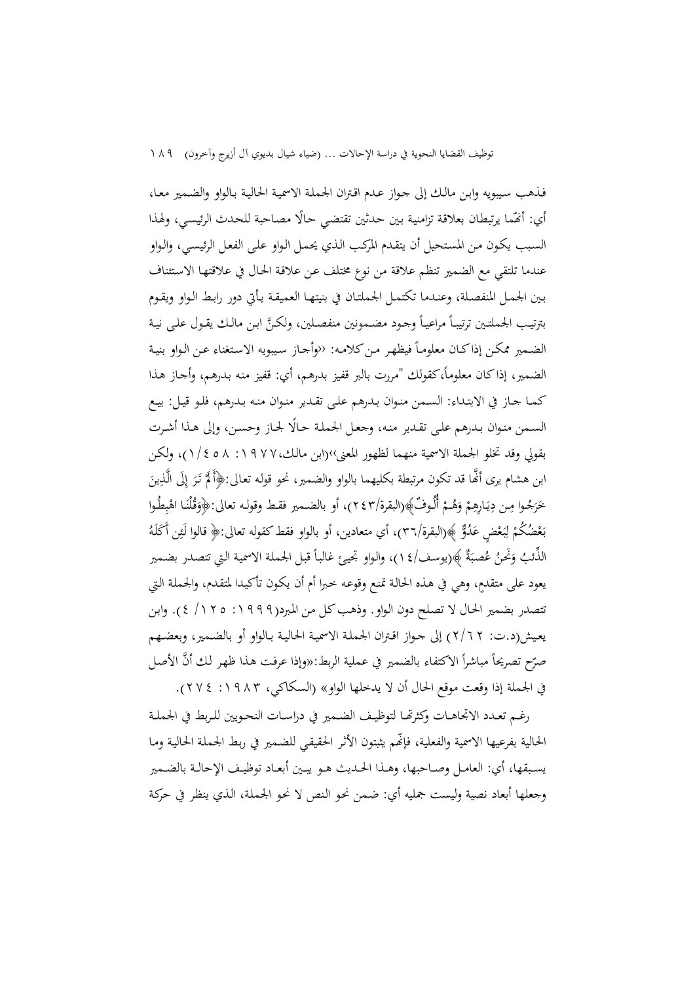فـذهب سـيبويه وابـن مالـك إلى جـواز عـدم اقـتران الجملـة الاسميـة الحاليـة بـالواو والضـمير معـا ، أي: أَمّما يرتبطان بعلاقة تزامنية بين حدثين تقتضي حالًا مصاحبة للحدث الرئيسي، ولهذا السـبب يكـون مـن المسـتحيل أن يتقـدم المركـب الـذي يحمـل الـواو علـى الفعـل الرئيسـي، والـواو عندما تلتقي مع الضمير تنظم علاقة من نوع مختلف عـن علاقـة الحـال في علاقتهـا الاسـتئناف بـين الجمـل المنفصـلة ، وعنـدما تكتمـل الجملتـان في بنيتهـا العميقـة يـأتي دور رابـط الـواو ويقـوم بترتيب الجملتين ترتيبـاً مراعيـاً وجـود مضـمونين منفصـلين، ولكـنَّ ابـن مالـك يقـول علـى نيـة الضمير ممكن إذاكان معلوماً فيظهر من كلامه: ‹‹وأجـاز سيبويه الاستغناء عـن الـواو بنيـة الضمير، إذاكان معلوماً،كقولك "مررت بالبر قفيز بدرهم، أي: قفيز منه بدرهم، وأجـاز هـذا كمـا جـاز في الابتـداء: السـمن منـوان بـدرهم علـى تقـدير منـوان منـه بـدرهم، فلـو قيـل: بيـع السـمن منـوان بـدرهم علـى تقـدير منـه، وجعـل الجملـة حـالًا لجـاز وحسـن، وإلى هـذا أشـرت بقولي وقد تخلو الجملة الاسمية منهما لظهور المعنى››(ابن مالـك:١٩٧٧، ١/٤٥٨)، و لكـن ابن هشام يرى أنَّما قد تكون مرتبطة بكليهما بالواو والضمير، نحو قوله تعالى:﴿أَلَمْ تَرَ إِلَى الَّذِينَ :<br>ا ا ر<br>. ت<br>ا **أ** خَرَجُوا مِن دِيَارِهِمْ وَهُـمْ أُلُوفٌ﴾(البقرة/٢٤٣)، أو بالضـمير فقط وقولـه تعالى:﴿وَقُلْنَا اهْبِطُوا ْ َ ْ ِ ب<br>أ ي ∫, .<br>ا َ َ بَعْضُكُمْ لِبَعْضٍ عَدُوٌّ ﴾(البقرة/٣٦)، أي متعادين، أو بالواو فقط كقوله تعالى:﴿ قالوا لَـئِن أَكَلَهُ ْ  $\ddot{\cdot}$ ْ با<br>ا الذُّئبُ وَنَحْنُ عُصبَةٌ ﴾(يوسف/١٤)، والواو تجيئ غالباً قبل الجملة الاسمية التي تتصدر بضمير َ َ يعود على متقدم،ٍ وهي في هـذه الحالـة تمنـع وقوعـه خـبرا أم أن يكـون تأكيـدا لمتقـدم، والجملـة الـتي تتصدر بضمير الحـال لا تصـلح دون الـواو. وذهـب كـل مـن المـبرد(:١٩٩٩ /١٢٥ ٤ ). وابـن يعـيش(د.ت: ٢/٦٢) إلى جـواز اقـتران الجملـة الاسميـة الحاليـة بـالواو أو بالضـمير ، وبعضـهم صرّح تصريحاً مباشراً الاكتفاء بالضمير في عملية الربط:«وإذا عرفت هذا ظهر لك أنَّ الأصل<br>-في الجملة إذا وقعت موقع الحال أن لا يدخلها الواو» (السكاكي، :١٩٨٣ ٢٧٤).

رغــم تعــدد الاتجاهــات وكثرــا لتوظيــف الضــمير في دراســات النحــويين للــربط في الجملــة الحالية بفرعيها الاسمية والفعلية، فإنّهم يثبتون الأثر الحقيقـي للضـمير في ربط الجملة الحالية ومـا يســبقها، أي: العامــل وصــاحبها، وهــذا الحــديث هــو يبــين أبعــاد توظيــف الإحالــة بالضــمير وجعلها أبعاد نصية وليست جمليه أي: ضـمن نحـو الـنص لا نحـو الجملـة، الـذي ينظـر في حركـة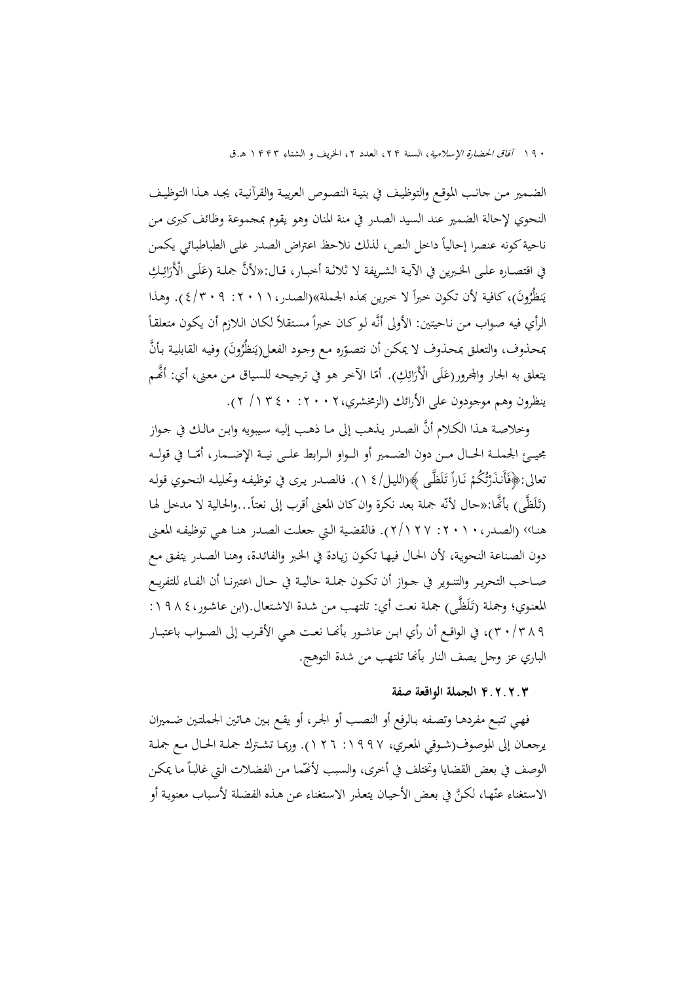١٩٠ آفا*ق الحضارة الإسلامية*، السنة ٢٢، العدد ٢، الخريف و الشتاء ١٣٣٣ هـ.ق

الضـمير مــن جانـب الموقـع والتوظيـف في بنيــة النصـوص العربيـة والقرآنيـة، يجـد هـذا التوظيــف النحوي لإحالة الضمير عند السيد الصدر في منة المنان وهو يقوم بمجموعة وظائف كبرى مـن ناحية كونه عنصرا إحالياً داخل النص، لذلك نلاحظ اعتراض الصدر على الطباطبائي يكمن في اقتصـاره علـى الخـبرين في الآيـة الشـريفة لا ثلاثـة أخبــار، قـال:«لأنَّ جملـة (عَلَـى الْأَرَائِـكِ<br>. َ نظُرُونَ)، كافية لأن تكون خبراً لا خبرين بمذه الجملة»(الصدر، ١ ١ ٢ : ٩ : ٢ / ٤). وهذا نٍ ي  $\overline{a}$ الرأي فيه صواب من ناحيتين: الأولى أنَّه لـو كـان خبراً مستقلاً لكـان الـلازم أن يكـون متعلقاً ً بمحذوف، والتعلق بمحذوف لا يمكن أن نتصوّره مع وحود الفعل(يَنظُرُونَ) وفيه القابلية بأنَّ<br>\* ية<br>∶ يتعلق به الجار والمجرور(عَلَى الْأَرَائِكِ). أمّا الآخر هو في ترجيحه للسياق من معنى، أي: أنَّحم َ َ ينظرون وهم موجودون على الأرائك (الزمخشري:٢٠٠٢، /١٣٤٠ ٢).

 وخلاصـة هـذا الكـلام أن الصـدر يـذهب إلى مـا ذهـب إليـه سـيبويه وابـن مالـك في جـواز مجيــئ الجملــة الحــال مــن دون الضــمير أو الــواو الــرابط علــى نيــة الإضــمار، أمّــا في قولــه<br>\* نعالى:﴿فَأَنذَرْتُكُمْ نَارًا تَلَظَّى ﴾(الليل/٤ ١). فالصدر يرى في توظيفه وتحليله النحوي قوله ِ<br>ا ْ ت<br>تار ْ ِّفَ<br>گ ن<br>ا (تَلَظَّى) بأنَّها:«حال لأنَّه جملة بعد نكرة وان كان المعنى أقرب إلى نعتاً...والحالية لا مدخل لها ٍ<br>ن هنـا›› (الصـدر:٢٠١٠، ٢/١٢٧). فالقضـية الـتي جعلـت الصـدر هنـا هـي توظيفـه المعـنى دون الصـناعة النحويـة، لأن الحـال فيهـا تكـون زيـادة في الخـبر والفائـدة، وهنـا الصـدر يتفـق مـع صــاحب التحريــر والتنــوير في جــواز أن تكــون جملــة حاليــة في حــال اعتبرنــا أن الفــاء للتفريــع المعنوي؛ وجملة (تَلَظَّى) جملة نعت أي: تلتهب من شدة الاشتعال.(ابن عاشور،٤ ٨ ٩ ١ : َ ٣٠/٣٨٩)، في الواقــع أن رأي ابــن عاشــور بأــا نعــت هــي الأقــرب إلى الصــواب باعتبــار الباري عز وجل يصف النار بأنها تلتهب من شدة التوهج.

### **.٢.٢.٣ الجملة الواقعة صفة**

فهـي تتبـع مفردهـا وتصـفه بـالرفع أو النصـب أو الجـر ، أو يقـع بـين هـاتين الجملتـين ضـميران يرجعــان إلى الموصوف(شـوقي المعـري، ١٩٩٧: ١٢٦). وربمـا تشـترك جملـة الحـال مـع جملـة الوصف في بعض القضايا وتختلف في أخرى، والسبب لأقْمّما من الفضلات التي غالباً ما يمكن الاستغناءِ عنّها، لكنَّ في بعض الأحيان يتعذر الاستغناءِ عن هـذه الفضلة لأسباب معنوية أو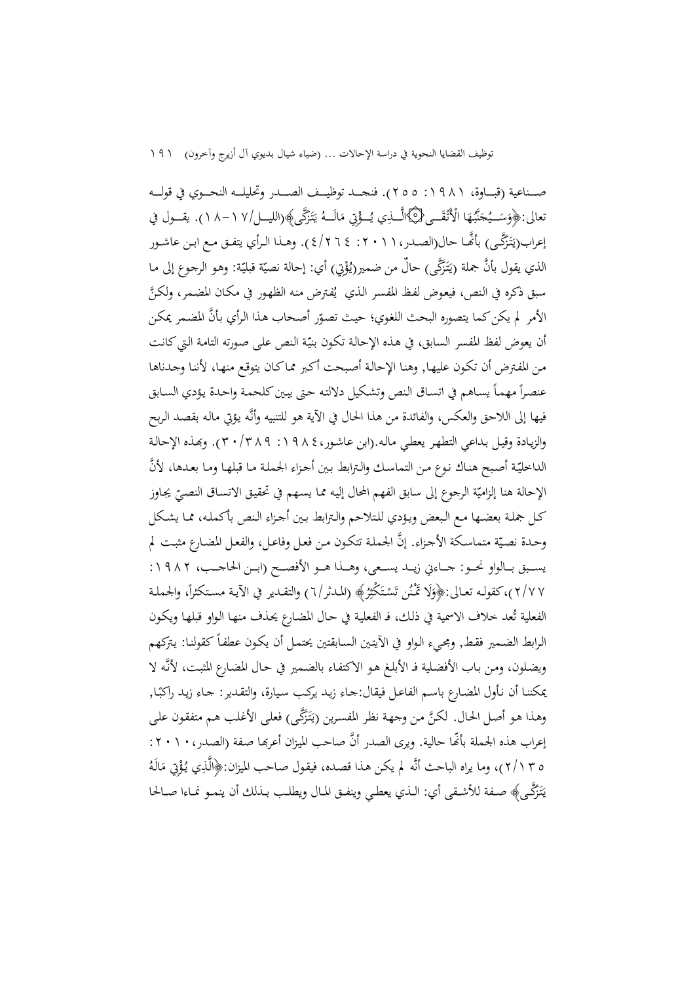صــناعية (قبـــاوة، ١٩٨١: ٢٥٥). فنجـــد توظيـــف الصـــدر وتحليلـــه النحــوي في قولــه تعالى:﴿وَسَــيُحَنَّبُهَا الْأَنْقَــى﴿۞الَّــذِي يُــؤْتِي مَالَــهُ يَتَزَكَّى﴾(الليـــل/١٧ - ٨ ١). يقـــول في  $\ddot{\phantom{0}}$ َ .<br>. َ ِيا<br>ـ ا<br>ا ةً<br>م إعراب(يَتَزَكَّـى) بأنَّحًا حال(الصـدر، ١ ١ ٢ ٢ : ٤ ٢ ٢ /٤). وهــذا الـرأي يتفـق مـع ابـن عاشـور ِبَ<br>ا الذي يقول بأنَّ جملة (يَتَزَكَّى) حالٌ من ضمير(يُؤْتِي) أي: إحالة نصيّة قبليّة: وهو الرجوع إلى ما پ<br>∶ ْ الذي يقول بأنَّ جملة (يَتَزَكَّى) حال من ضمير(يُؤْتِي) أي: إحالة نصيّة قبليّة: وهو الرجوع إلى مـا<br>سبق ذكره في النص، فيعوض لفظ المفسر الذي يُفترض منه الظهور في مكـان المضـمر، ولكنَّ الأمر لم يكن كما يتصوره البحث اللغوي؛ حيث تصوّر أصحاب هذا الرأي بأنَّ المضمر يمكن أن يعوض لفظ المفسر السابق، في هـذه الإحالـة تكـون بنيّـة النص علـى صـورته التامـة الـتي كـانـت مـن المفـترض أن تكـون عليهـا, وهنـا الإحالـة أصـبحت أكـبر ممـا كـان يتوقـع منهـا ، لأننـا وجـدناها عنصراً مهماً يساهم في اتساق النص وتشكيل دلالته حتى يبين كلحمة واحدة يؤدي السابق فيها إلى اللاحق والعكس، والفائدة من هذا الحال في الآية هو للتنبيه وأنـه يـؤتي مالـه بقصـد الـربح والزيـادة وقيـل بـداعي التطهـر يعطـي مالـه.(ابن عاشـور:١٩٨٤، ٣٠/٣٨٩). وـذه الإحالـة الداخليّة أصبح هنـاك نـوع مـن التماسك والـترابط بـين أجـزاء الجملـة مـا قبلهـا ومـا بعـدها، لأنَّ الإحالة هنا إلزاميّة الرجوع إلى سابق الفهم المحال إليه مما يسهم في تحقيق الاتسـاق النصـيّ يجـاوز<br>ء كـل جملـة بعضـها مـع الـبعض ويـؤدي للـتلاحم والـترابط بـين أجـزاء الـنص بأكملـه، ممـا يشــكل وحـدة نصيّة متماسكة الأجـزاء. إنّ الجملـة تتكـون مـن فعـل وفاعـل، والفعـل المضـارع مثبـت لم يســبق بــالواو نحــو: جــاءين زيــد يســعى، وهــذا هــو الأفصــح (ابــن الحاجــب، ١٩٨٢: ٢/٧٧)،كقولـه تعـالى:﴿وَلَا تَمْنُن تَسْتَكْثِرُ﴾ (المدثر/٦) والتقـدير في الآيـة مسـتكثراً، والحملـة ِ<br>بر : ْ َ الفعلية تُعد خلاف الاسمية في ذلك، فـ الفعلية في حـال المضارع يحذف منهـا الـواو قبلهـا ويكـون الرابط الضمير فقط, ومجيء الواو في الأيتين السـابقتين يحتمـل أن يكـون عطفـاً كقولنـا: يتركهم ويضـلون، ومـن بـاب الأفضـلية فـ الأبلـغ هـو الاكتفـاء بالضـمير في حـال المضـارع المثبـت، لأنـه لا .<br>-.<br>. يمكننـا أن نـأول المضـارع باسـم الفاعـل فيقال:جـاء زيـد يركـب سـيارة، والتقـدير: جـاء زيـد راكبا, وهذا هو أصل الحال. لكنَّ من وجهة نظر المفسرين (يَتَزَكَّى) فعلى الأغلب هم متفقون على ِيا<br>ـ إعراب هذه الجملة بأنَّما حالية. ويرى الصدر أنَّ صاحب الميزان أعربها صفة (الصدر، ١ ٠ ٢ : ه ٢ (٢/١)، وما يراه الباحث أنَّه لم يكن هـذا قصـده، فيقـول صـاحب الميزان:﴿الَّذِي يُـؤْتِي مَالَهُ  $\overline{a}$ ة<br>م يَتَزَكَّـى﴾ صـفة للأشـقى أي: الـذي يعطـي وينفـق المـال ويطلـب بـذلك أن ينمـو نمـاءا صـالحا ِيا<br>ـ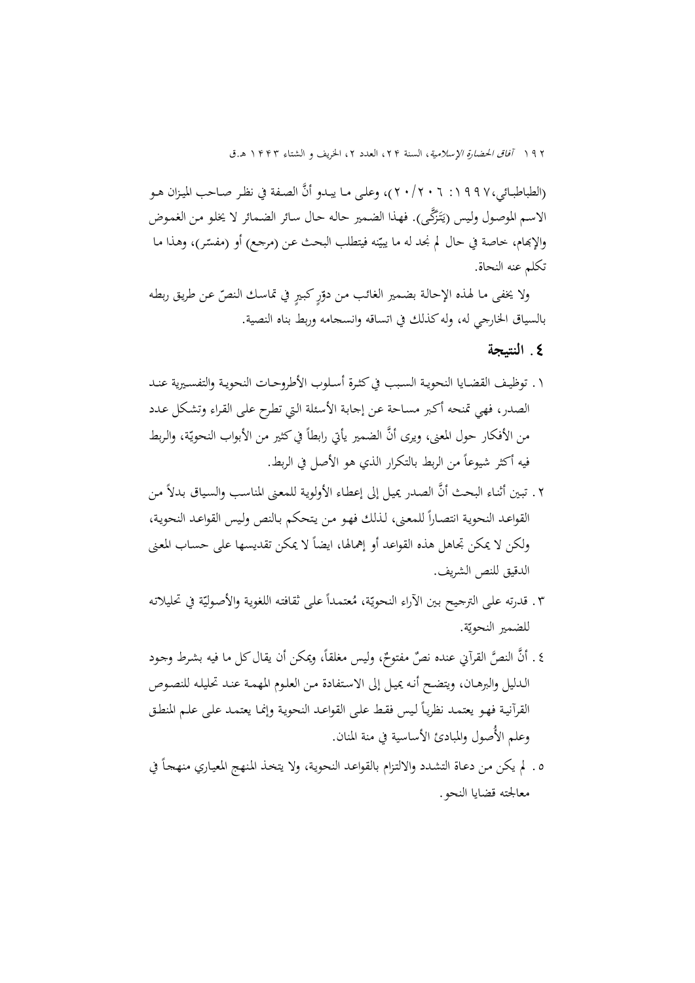١٩٢ آفاق الحضارة الإسلامية، السنة ٢٢، العدد ٢، الخريف و الشتاء ١٤٤٣ هـ.ق

(الطباطبـائي،١٩٩٧: ٢٠/٢٠/٢)، وعلى مـا يبـدو أنَّ الصـفة في نظـر صـاحب الميـزان هـو الاسم الموصول وليس (يَتَزَكَّى). فهذا الضمير حاله حال سائر الضمائر لا يخلو من الغموض ِيا<br>ـ والإبمام، خاصة في حال لم نجد له ما ييّنه فيتطلب البحث عن (مرجع) أو (مفسّر)، وهذا ما تكلم عنه النحاة.

ولا يخفى مـا لهـذه الإحالـة بضمير الغائب من دوّرٍ كبيرٍ في تماسك النصّ عـن طريق ربطه بالسياق الخارجي له، وله كذلك في اتساقه وانسجامه وربط بناه النصية.

**٤ . النتيجة**

- .١ توظيــف القضــايا النحويــة الســبب في كثــرة أســلوب الأطروحــات النحويــة والتفســيرية عنــد الصدر، فهي تمنحه أكـبر مسـاحة عـن إجابـة الأسـئلة الـتي تطـرح علـى القـراء وتشـكل عـدد من الأفكار حول المعنى، ويرى أنَّ الضمير يأتي رابطاً في كثير من الأبواب النحويّة، والربط فيه أكثر شيوعاً من الربط بالتكرار الذي هو الأصل في الربط.
- ٢ . تبين أثنـاء البحث أنَّ الصـدر يميل إلى إعطـاء الأولويـة للمعنى المناسب والسياق بدلاً من ً ل القواعـد النحويـة انتصـارا لمعـنى، لـذلك فهـو مـن يـتحكم بـالنص ولـيس القواعـد النحويـة، ولكن لا يمكن تجاهل هذه القواعد أو إهمالها، ايضاً لا يمكن تقديسها على حساب المعنى الدقيق للنص الشريف.
- ٣. قدرته على الترجيح بين الآراء النحويّة، مُعتمداً على ثقافته اللغوية والأصوليّة في تحليلاته للضمير النحويّة.
- ٤ . أنَّ النصَّ القرآني عنده نصٌ مفتوحٌ، وليس مغلقاً، ويمكن أن يقال كل ما فيه بشرط وجود الـدليل والبرهـان، ويتضـح أنـه يميـل إلى الاسـتفادة مـن العلـوم المهمـة عنـد تحليلـه للنصـوص القرآنية فهو يعتمـد نظريـاً ليس فقط علـى القواعـد النحويـة وإنمـا يعتمـد علـى علـم المنطـق وعلم الأُصول والمبادئ الأساسية في منة المنان.
- ه . لم يكن من دعاة التشدد والالتزام بالقواعد النحوية، ولا يتخذ المنهج المعياري منهجاً في معالجته قضايا النحو.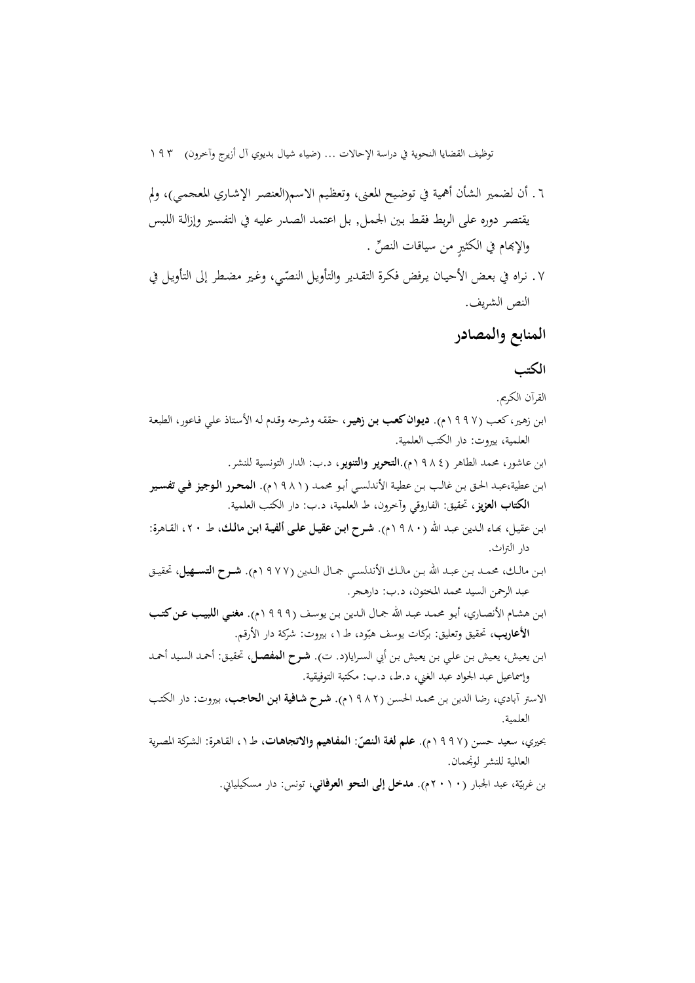توظيف القضايا النحوية في دراسة الإحالات ... (ضياء شيال بديوي آل أزيرج وآخرون) ١٩٣

- .٦ أن لضمير الشأن أهمية في توضـيح المعـنى، وتعظـيم الاسم(العنصـر الإشـاري المعجمـي)، ولم يقتصر دوره على الربط فقـط بـين الجمـل, بـل اعتمـد الصـدر عليـه في التفسـير وإزالـة اللـبس والإبمام في الكثيرٍ من سياقات النصٍّ .
- ٧. نراه في بعض الأحيـان يرفض فكرة التقـدير والتأويـل النصّي، وغير مضطر إلى التأويـل في النص الشريف.

# **المنابع والمصادر**

### **الکتب**

- القرآن الكريم.
- ابـن زهـير، كعـب (١٩٩٧م). **ديـوان كعـب بـن زهيـر** ، حققـه وشـرحه وقـدم لـه الأسـتاذ علـي فـاعور، الطبعـة العلمية ، بيروت: دار الكتب العلمية.
	- ابن عاشور، محمد الطاهر (١٩٨٤م).**التحرير والتنوير**، د.ب: الدار التونسية للنشر.
- ابـن عطية،عبـد الحـق بـن غالـب بـن عطيـة الأندلسـي أبـو محمـد ( ١٩٨١م). **المحــرر الــوجيز فــي تفســير الكتاب العزيز**، تحقيق: الفاروقي وآخرون، ط العلمية، د.ب: دار الكتب العلمية.
- ابـن عقيـل، ـاء الـدين عبـد االله (١٩٨٠م). **شـرح ابـن عقيـل علـى ألفيـة ابـن مالـك**، ط ،٢٠ القـاهرة: دار التراث.
- ابــن مالــك، محمــد بــن عبــد االله بــن مالــك الأندلســي جمــال الــدين ( ١٩٧٧م). **شـــرح التســـهيل** ، تحقيــق عبد الرحمن السيد محمد المختون، د.ب: دارهجر.
- ابـن هشـام الأنصـاري، أبـو محمـد عبـد االله جمـال الـدين بـن يوسـف (١٩٩٩م). **مغنــي اللبيـب عــن كتــب**  <mark>الأعاريب،</mark> تحقيق وتعليق: بركات يوسف هبّود، ط ١، بيروت: شركة دار الأرقم.
- ابـن يعـيش، يعـيش بـن علـي بـن يعـيش بـن أبي السـرايا(د. ت). **شـرح المفصـل**، تحقيـق: أحمـد السـيد أحمـد وإسماعيل عبد الجواد عبد الغني، د.ط، د.ب: مكتبة التوفيقية.
- الاستر آبادي، رضا الدين بـن محمـد الحسـن (١٩٨٢م). **شـرح شـافية ابـن الحاجـب**، بـيروت: دار الكتـب العلمية.
- بحيري، سعيد حسن (١٩٩٧م). **علم لغة النصّ: المفاهيم والاتجاهات**، ط١، القاهرة: الشركة المصرية العالمية للنشر لونجمان.

بن غربيّة، عبد الجبار <mark>(٢٠١٠م). مدخل إلى النحو العرفاني</mark>، تونس: دار مسكيلياني.<br>.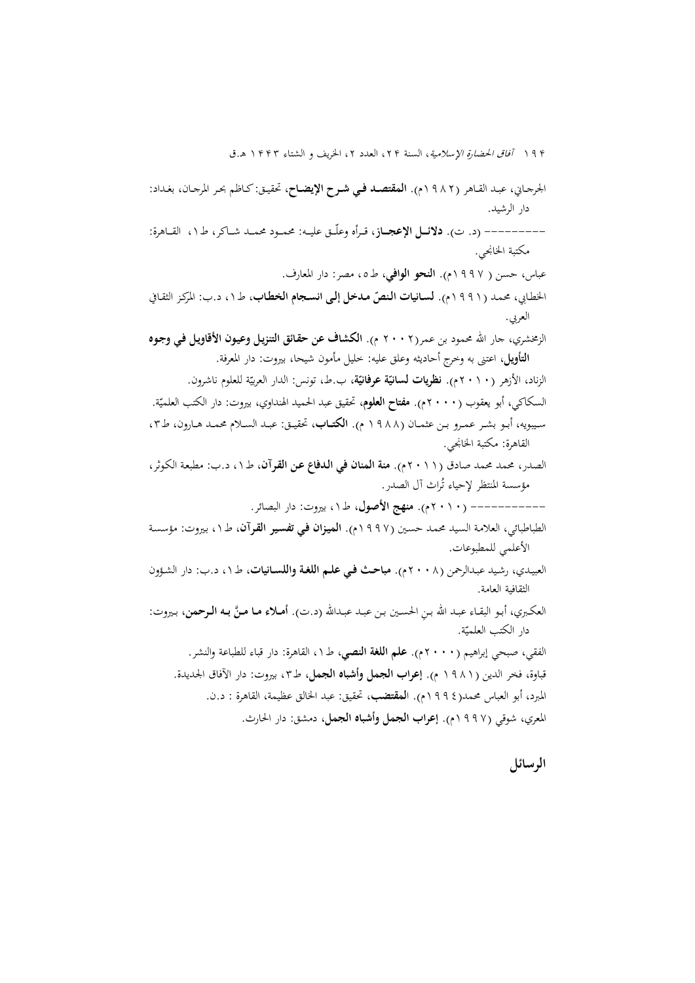١٩۴ آفاق الحضارة الإسلامية، السنة ٢٢، العدد ٢، الخريف و الشتاء ١٣٣٣ هـ.ق

الجرجــاني، عبــد القــاهر (١٩٨٢ م). **المقتصــد فــي شــرح الإيضــاح**، تحقيــق: كــاظم بحــر المرجــان، بغــ داد: دار الرشيد.

--------- (د. ت). **دلائــــل الإعجــــاز**، قـــرأه وعلّـــق عليـــه: محمـــود محمـــد شـــاكر، ط١ ، القـــاهرة: مكتبة الخانجي.

عباس، حسن ( ١٩٩٧م). **النحو الوافي**، ط،٥ مصر: دار المعارف.

الخطابي، محمـد (٩٩١١م). **لسـانيات الـنصّ مـدخل إلـى انسـجام الخطـاب**، طـ١، د.ب: المركـز الثقـافي العربي.

الزمخشري، جار االله محمود بن عمر(٢٠٠٢ م). **الكشاف عن حقـائق التنزيـل وعيـون الأقاويـل فـي وجـوه التأويل**، اعتنى به وخرج أحاديثه وعلق عليه: خليل مأمون شيحا، بيروت: دار المعرفة.

الزناد، الأزهر ( <mark>٢ ٠ ٢ م). **نظريات لسانيّة عرفانيّة**، ب.</mark>ط، تونس: الدار العربيّة للعلوم ناشرون. السكاكي، أبو يعقوب (٢٠٠٠م). **مفتاح العلوم**، تحقيق عبد الحميد الهنداوي، بيروت: دار الكتب العلميّة.<br>. ســيبويه، أبــو بشــر عمــرو بــن عثمــان (١٩٨٨ م). **الكتـــاب**، تحقيــق: عبــد الســلام محمــد هــارون، ط،٣ القاهرة: مكتبة الخانجي.

الصدر، محمد محمد صادق (٢٠١١م). **منة المنان في الـدفاع عـن القـرآن**، ط١ ، د.ب: مطبعـة الكـوثر، مؤسسة المنتظر لإحياء تُراث أل الصدر.

- ---------- ( ٢٠١٠م). **منهج الأصول**، ط،١ بيروت: دار البصائر.

- الطباطبائي ، العلامـة السـيد محمـد حسـين (١٩٩٧م). **الميـزان فـي تفسـير القـرآن،** ط،١ بـيروت: مؤسسـة الأعلمي للمطبوعات.
- العبيـدي، رشـيد عبـدالرحمن (٢٠٠٨م). **مباحــث فـي علــم اللغـة واللســانيات**، ط،١ د.ب: دار الشـؤون الثقافية العامة.
- العكبري، أبـو البقـاء عبـد الله بـن الحسـين بـن عبـد عبـدالله (د.ت). **أمــلاء مـا مـنّ بـه الـرحمن**، بـيروت: دار الكتب العلميّة.<br>.

الفقي، صبحي إبراهيم ( ٢٠٠٠ م). **علم اللغة النصي**، ط١ ، القاهرة: دار قباء للطباعة والنشر. قباوة، فخر الدين (١٩٨١ م). **إعراب الجمل وأشباه الجمل**، ط،٣ بيروت: دار الآفاق الجديدة. المبرد، أبو العباس محمد(١٩٩٤ ا م). **لمقتضب**، تحقيق: عبد الخالق عظيمة، القاهرة : د.ن. المعري، شوقي ( ١٩٩٧م). **إعراب الجمل وأشباه الجمل،** دمشق: دار الحارث.

**الرسائل**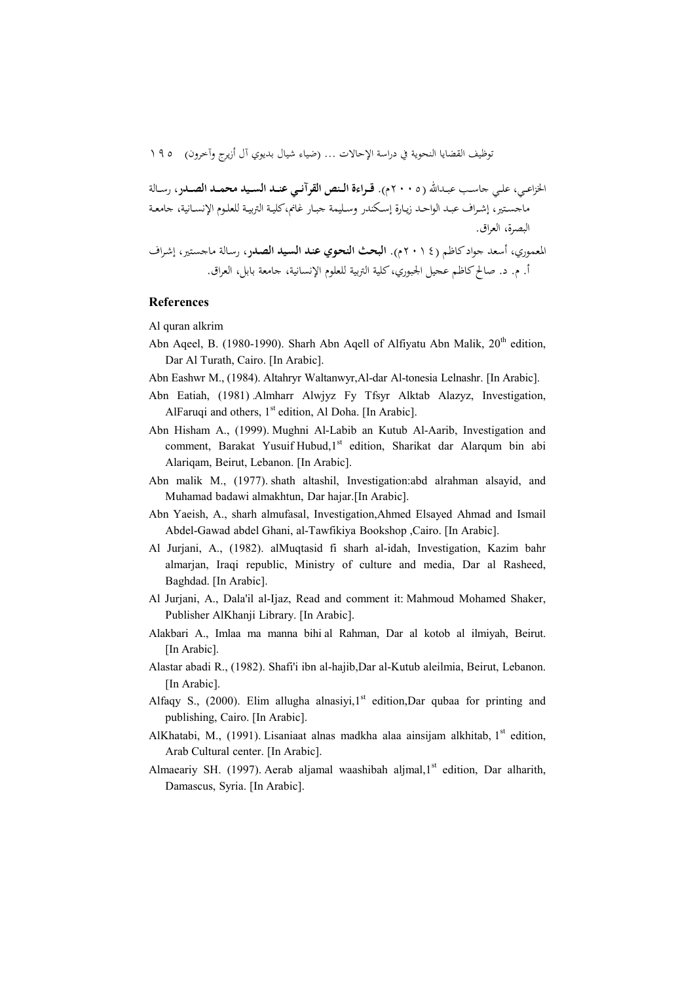توظيف القضايا النحوية في دراسة الإحالات ... (ضياء شيال بديوي آل أزيرج وآخرون) ١٩٥

الخزاعــي، علــي جاســب عبــداالله ( ٢٠٠٥ م). **قـــراءة الـــنص القرآنـــي عنـــد الســـيد محمـــد الصـــدر**، رســالة ماجســتير، إشــراف عبــد الواحــد زيــارة إســكندر وســليمة جبــار غانم،كليــة التربيــة للعلــوم الإنســانية، جامعــة البصرة، العراق. المعموري، أسعد جواد كاظم ( ٢٠١٤ م). **البحـث النحـوي عنـد السـيد الصـدر**، رسـالة ماجسـتير، إشـراف أ. م. د. صالح كاظم عجيل الجبوري، كلية التربية للعلوم الإنسانية، جامعة بابل، العراق.

#### **References**

Al quran alkrim

- Abn Aqeel, B. (1980-1990). Sharh Abn Aqell of Alfiyatu Abn Malik,  $20<sup>th</sup>$  edition, Dar Al Turath, Cairo. [In Arabic].
- Abn Eashwr M., (1984). Altahryr Waltanwyr,Al-dar Al-tonesia Lelnashr. [In Arabic].
- Abn Eatiah, (1981) .Almharr Alwjyz Fy Tfsyr Alktab Alazyz, Investigation, AlFaruqi and others,  $1<sup>st</sup>$  edition, Al Doha. [In Arabic].
- Abn Hisham A., (1999). Mughni Al-Labib an Kutub Al-Aarib, Investigation and comment, Barakat Yusuif Hubud, 1<sup>st</sup> edition, Sharikat dar Alarqum bin abi Alariqam, Beirut, Lebanon. [In Arabic].
- Abn malik M., (1977). shath altashil, Investigation:abd alrahman alsayid, and Muhamad badawi almakhtun, Dar hajar.[In Arabic].
- Abn Yaeish, A., sharh almufasal, Investigation,Ahmed Elsayed Ahmad and Ismail Abdel-Gawad abdel Ghani, al-Tawfikiya Bookshop ,Cairo. [In Arabic].
- Al Jurjani, A., (1982). alMuqtasid fi sharh al-idah, Investigation, Kazim bahr almarjan, Iraqi republic, Ministry of culture and media, Dar al Rasheed, Baghdad. [In Arabic].
- Al Jurjani, A., Dala'il al-Ijaz, Read and comment it: Mahmoud Mohamed Shaker, Publisher AlKhanji Library. [In Arabic].
- Alakbari A., Imlaa ma manna bihi al Rahman, Dar al kotob al ilmiyah, Beirut. [In Arabic].
- Alastar abadi R., (1982). Shafi'i ibn al-hajib,Dar al-Kutub aleilmia, Beirut, Lebanon. [In Arabic].
- Alfaqy S., (2000). Elim allugha alnasiyi,  $1<sup>st</sup>$  edition, Dar qubaa for printing and publishing, Cairo. [In Arabic].
- AlKhatabi, M., (1991). Lisaniaat alnas madkha alaa ainsijam alkhitab,  $1<sup>st</sup>$  edition, Arab Cultural center. [In Arabic].
- Almaeariy SH. (1997). Aerab aljamal waashibah aljmal, 1<sup>st</sup> edition, Dar alharith, Damascus, Syria. [In Arabic].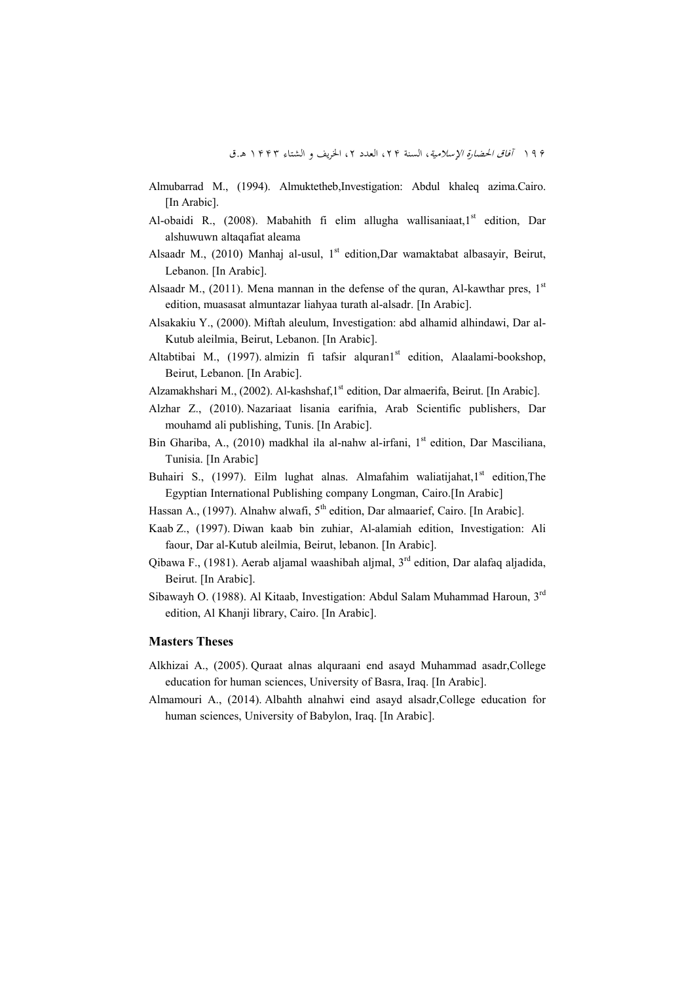- Almubarrad M., (1994). Almuktetheb,Investigation: Abdul khaleq azima.Cairo. [In Arabic].
- Al-obaidi R., (2008). Mabahith fi elim allugha wallisaniaat, 1st edition, Dar alshuwuwn altaqafiat aleama
- Alsaadr M., (2010) Manhaj al-usul, 1<sup>st</sup> edition,Dar wamaktabat albasayir, Beirut, Lebanon. [In Arabic].
- Alsaadr M., (2011). Mena mannan in the defense of the quran, Al-kawthar pres,  $1<sup>st</sup>$ edition, muasasat almuntazar liahyaa turath al-alsadr. [In Arabic].
- Alsakakiu Y., (2000). Miftah aleulum, Investigation: abd alhamid alhindawi, Dar al-Kutub aleilmia, Beirut, Lebanon. [In Arabic].
- Altabtibai M., (1997). almizin fi tafsir alquran $1<sup>st</sup>$  edition, Alaalami-bookshop, Beirut, Lebanon. [In Arabic].
- Alzamakhshari M., (2002). Al-kashshaf, 1<sup>st</sup> edition, Dar almaerifa, Beirut. [In Arabic].
- Alzhar Z., (2010). Nazariaat lisania earifnia, Arab Scientific publishers, Dar mouhamd ali publishing, Tunis. [In Arabic].
- Bin Ghariba, A., (2010) madkhal ila al-nahw al-irfani, 1<sup>st</sup> edition, Dar Masciliana, Tunisia. [In Arabic]
- Buhairi S., (1997). Eilm lughat alnas. Almafahim waliatijahat, $1<sup>st</sup>$  edition, The Egyptian International Publishing company Longman, Cairo.[In Arabic]
- Hassan A., (1997). Alnahw alwafi,  $5<sup>th</sup>$  edition, Dar almaarief, Cairo. [In Arabic].
- Kaab Z., (1997). Diwan kaab bin zuhiar, Al-alamiah edition, Investigation: Ali faour, Dar al-Kutub aleilmia, Beirut, lebanon. [In Arabic].
- Qibawa F., (1981). Aerab aljamal waashibah aljmal, 3rd edition, Dar alafaq aljadida, Beirut. [In Arabic].
- Sibawayh O. (1988). Al Kitaab, Investigation: Abdul Salam Muhammad Haroun, 3rd edition, Al Khanji library, Cairo. [In Arabic].

#### **Masters Theses**

- Alkhizai A., (2005). Quraat alnas alquraani end asayd Muhammad asadr,College education for human sciences, University of Basra, Iraq. [In Arabic].
- Almamouri A., (2014). Albahth alnahwi eind asayd alsadr,College education for human sciences, University of Babylon, Iraq. [In Arabic].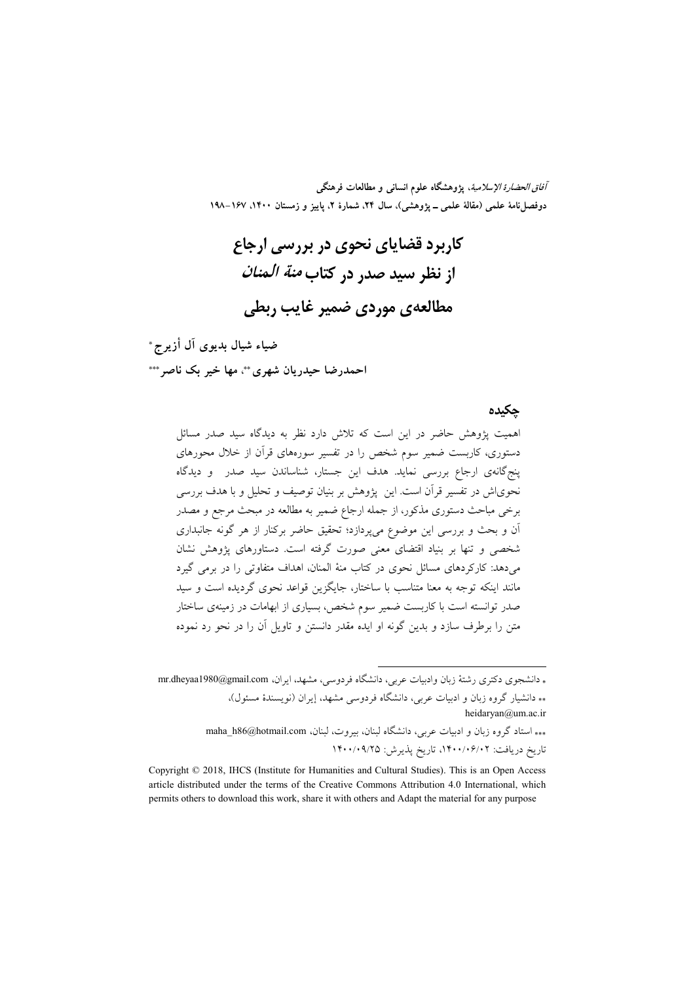*آفاق الحضارة الإسلامية*، پژوهشگاه علوم انسان<sub>ی</sub> و مطالعات فرهنگی دوفصل نامهٔ علمی (مقالهٔ علمی ــ یژوهشی)، سال ۲۴، شمارهٔ ۲، پاییز و زمستان ۱۴۰۰، ۱۶۷–۱۹۸

کاربرد قضایای نحوی در بررسی ارجاع از نظر سید صدر در کتاب *منة المنان* مطالعهی موردی ضمیر غایب ربطی

ضياء شيال بديوي آل أزير *ج*\* احمدرضا حیدریان شهری\*\*، مها خبر یک ناصر\*\*\*

 **\$%&**

همیت پژوهش حاضر در این است که تلاش دارد نظر به دیدگاه سید صدر مسائل دستوری، کاربست ضمیر سوم شخص را در تفسیر سورههای قرآن از خلال محورهای پنجگانهی ارجاع بررسی نماید. هدف این جستار، شناساندن سید صدر ً و دیدگاه حویاش در تفسیر قرآن است. این پژوهش بر بنیان توصیف و تحلیل و با هدف بررسی برخی مباحث دستوری مذکور، از جمله ارجاع ضمیر به مطالعه در مبحث مرجع و مصدر آن و بحث و بررسی این موضوع میپردازد؛ تحقیق حاضر برکنار از هر گونه جانبداری شخصی و تنها بر بنیاد اقتضای معنی صورت گرفته است. دستاورهای پژوهش نشان می دهد: کارکر دهای مسائل نحوی در کتاب منهٔ المنان، اهداف متفاوتی را در برمی گیرد مانند اینکه توجه به معنا متناسب با ساختار، جایگزین قواعد نحوی گردیده است و سید صدر توانسته است با کاربست ضمیر سوم شخص، بسیاری از ابهامات در زمینهی ساختار متن را برطرف سازد و بدین گونه او ایده مقدر دانستن و تاویل آن را در نحو رد نموده

\* دانشجوی دکتری رشتهٔ زبان وادبیات عربی، دانشگاه فردوسی، مشهد، ایران، mr.dheyaa1980@gmail.com \*\* دانشیار گروه زبان و ادبیات عربی، دانشگاه فردوسی مشهد، إیران (نویسندهٔ مسئول)، heidaryan@um.ac.ir

\*\*\* استاد گروه زبان و ادبیات عربی، دانشگاه لبنان، بیروت، لبنان، maha\_h86@hotmail.com تاريخ دريافت: ١۴٠٠/٠۶/٠٢، تاريخ يذيرش: ١۴٠٠/٠٩/٢٥

.

Copyright © 2018, IHCS (Institute for Humanities and Cultural Studies). This is an Open Access article distributed under the terms of the Creative Commons Attribution 4.0 International, which permits others to download this work, share it with others and Adapt the material for any purpose